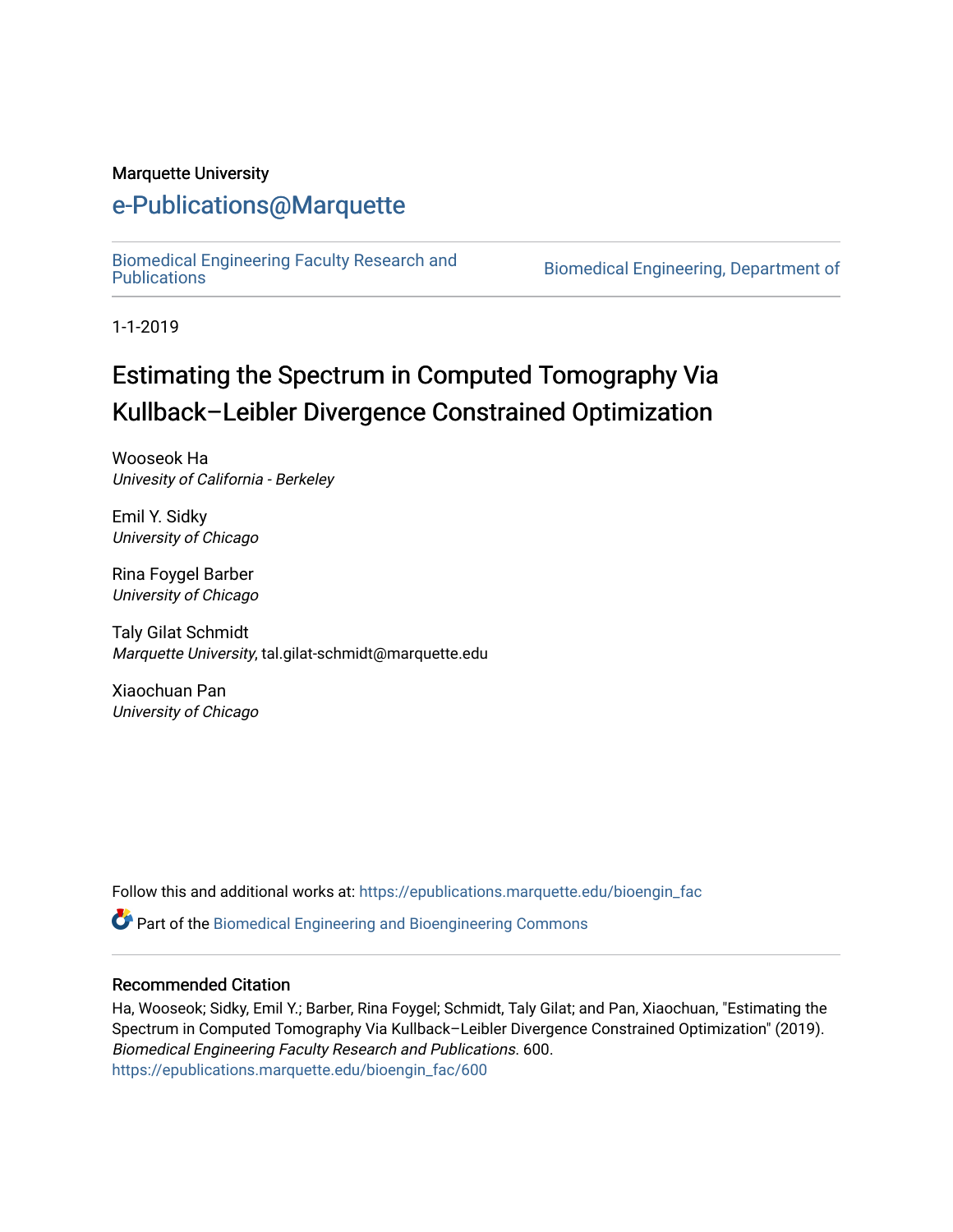#### Marquette University

### [e-Publications@Marquette](https://epublications.marquette.edu/)

[Biomedical Engineering Faculty Research and](https://epublications.marquette.edu/bioengin_fac) 

Biomedical Engineering, Department of

1-1-2019

# Estimating the Spectrum in Computed Tomography Via Kullback–Leibler Divergence Constrained Optimization

Wooseok Ha Univesity of California - Berkeley

Emil Y. Sidky University of Chicago

Rina Foygel Barber University of Chicago

Taly Gilat Schmidt Marquette University, tal.gilat-schmidt@marquette.edu

Xiaochuan Pan University of Chicago

Follow this and additional works at: [https://epublications.marquette.edu/bioengin\\_fac](https://epublications.marquette.edu/bioengin_fac?utm_source=epublications.marquette.edu%2Fbioengin_fac%2F600&utm_medium=PDF&utm_campaign=PDFCoverPages)

Part of the [Biomedical Engineering and Bioengineering Commons](http://network.bepress.com/hgg/discipline/229?utm_source=epublications.marquette.edu%2Fbioengin_fac%2F600&utm_medium=PDF&utm_campaign=PDFCoverPages) 

#### Recommended Citation

Ha, Wooseok; Sidky, Emil Y.; Barber, Rina Foygel; Schmidt, Taly Gilat; and Pan, Xiaochuan, "Estimating the Spectrum in Computed Tomography Via Kullback–Leibler Divergence Constrained Optimization" (2019). Biomedical Engineering Faculty Research and Publications. 600. [https://epublications.marquette.edu/bioengin\\_fac/600](https://epublications.marquette.edu/bioengin_fac/600?utm_source=epublications.marquette.edu%2Fbioengin_fac%2F600&utm_medium=PDF&utm_campaign=PDFCoverPages)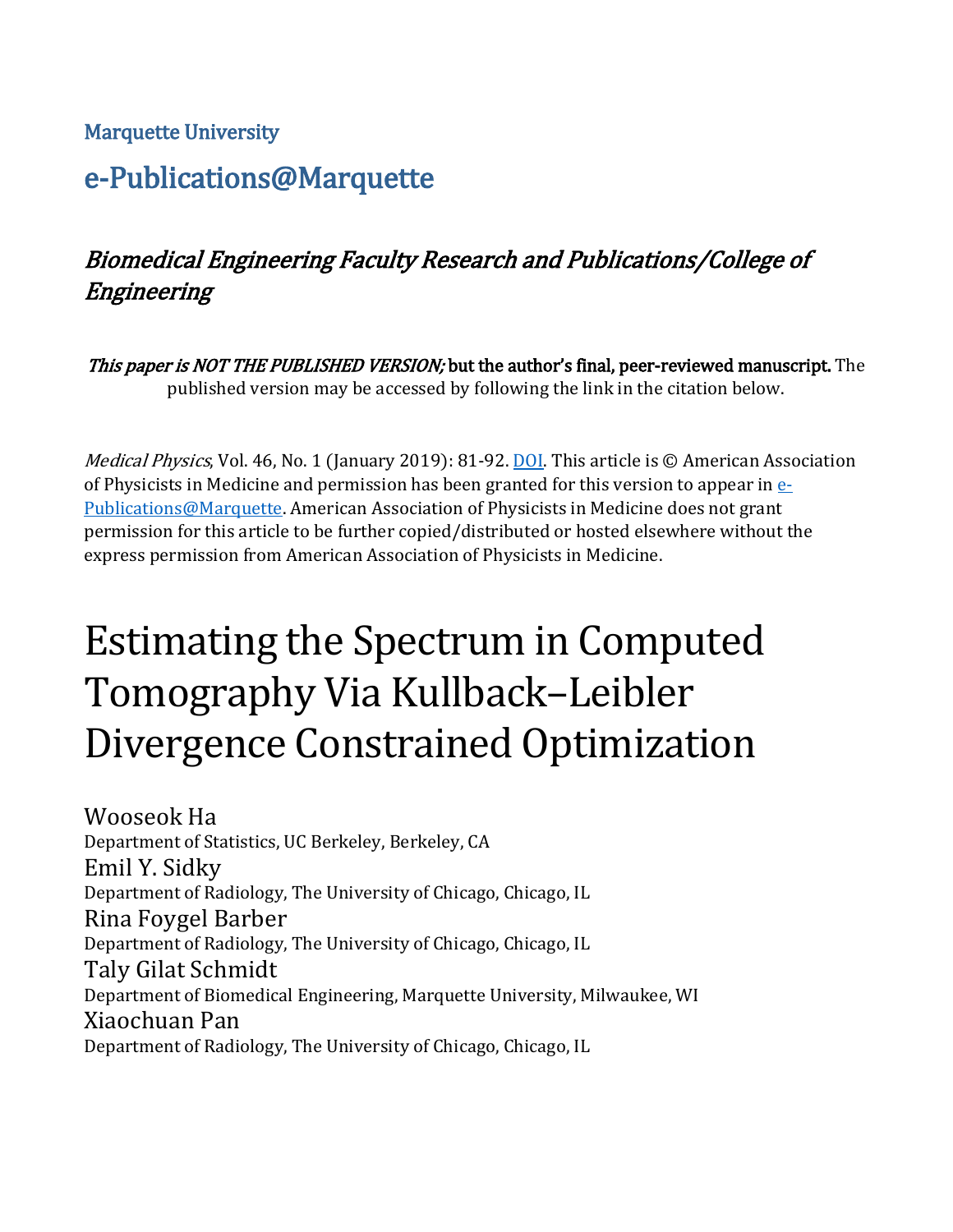### Marquette University

# e-Publications@Marquette

# Biomedical Engineering Faculty Research and Publications/College of Engineering

This paper is NOT THE PUBLISHED VERSION; but the author's final, peer-reviewed manuscript. The published version may be accessed by following the link in the citation below.

Medical Physics, Vol. 46, No. 1 (January 2019): 81-92. [DOI.](https://doi.org/10.1002/mp.13257) This article is © American Association of Physicists in Medicine and permission has been granted for this version to appear in  $e$ -[Publications@Marquette.](http://epublications.marquette.edu/) American Association of Physicists in Medicine does not grant permission for this article to be further copied/distributed or hosted elsewhere without the express permission from American Association of Physicists in Medicine.

# Estimating the Spectrum in Computed Tomography Via Kullback–Leibler Divergence Constrained Optimization

Wooseok Ha Department of Statistics, UC Berkeley, Berkeley, CA Emil Y. Sidky Department of Radiology, The University of Chicago, Chicago, IL Rina Foygel Barber Department of Radiology, The University of Chicago, Chicago, IL Taly Gilat Schmidt Department of Biomedical Engineering, Marquette University, Milwaukee, WI Xiaochuan Pan Department of Radiology, The University of Chicago, Chicago, IL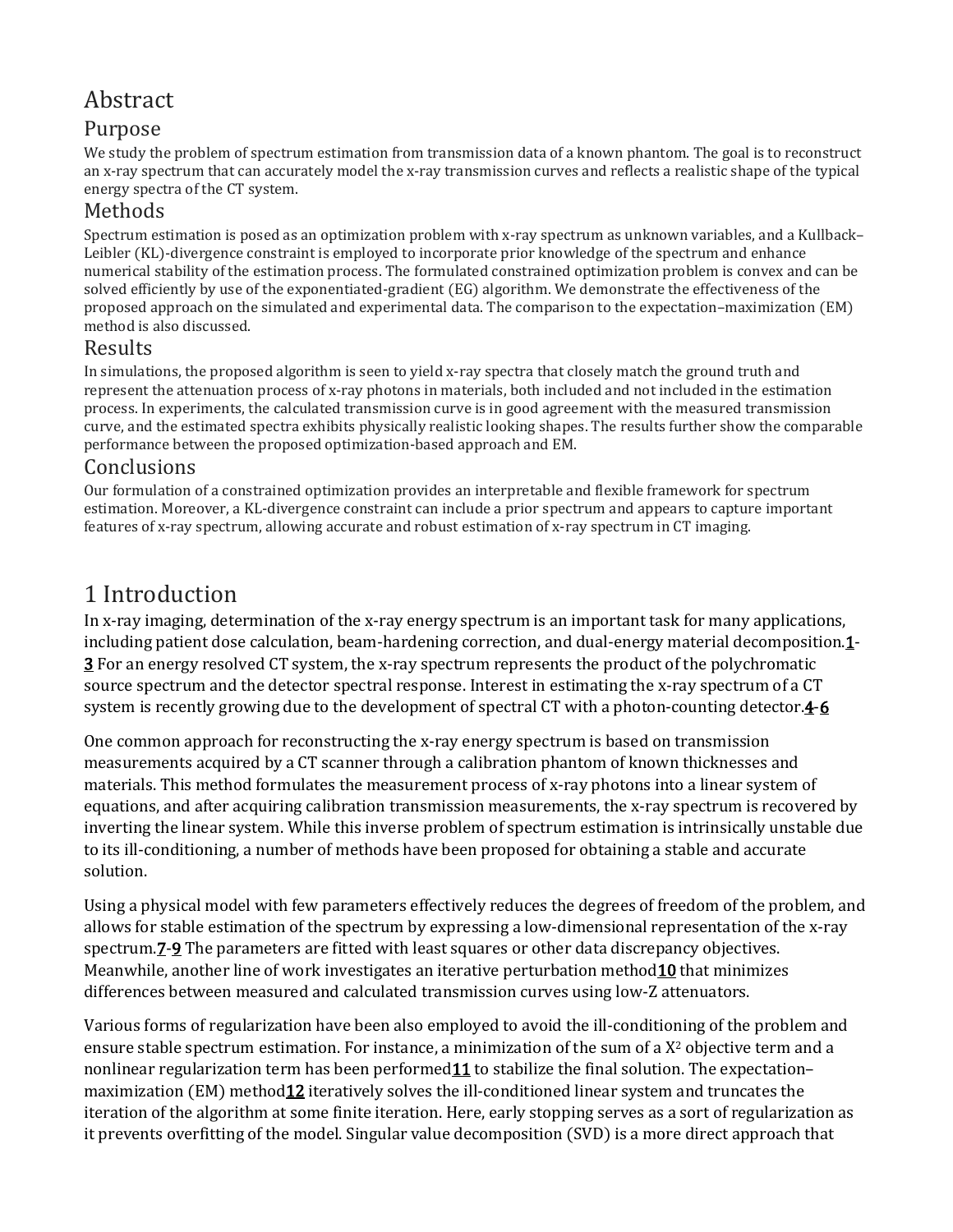# Abstract

### Purpose

We study the problem of spectrum estimation from transmission data of a known phantom. The goal is to reconstruct an x-ray spectrum that can accurately model the x-ray transmission curves and reflects a realistic shape of the typical energy spectra of the CT system.

### Methods

Spectrum estimation is posed as an optimization problem with x-ray spectrum as unknown variables, and a Kullback– Leibler (KL)-divergence constraint is employed to incorporate prior knowledge of the spectrum and enhance numerical stability of the estimation process. The formulated constrained optimization problem is convex and can be solved efficiently by use of the exponentiated-gradient (EG) algorithm. We demonstrate the effectiveness of the proposed approach on the simulated and experimental data. The comparison to the expectation–maximization (EM) method is also discussed.

### Results

In simulations, the proposed algorithm is seen to yield x-ray spectra that closely match the ground truth and represent the attenuation process of x-ray photons in materials, both included and not included in the estimation process. In experiments, the calculated transmission curve is in good agreement with the measured transmission curve, and the estimated spectra exhibits physically realistic looking shapes. The results further show the comparable performance between the proposed optimization-based approach and EM.

### **Conclusions**

Our formulation of a constrained optimization provides an interpretable and flexible framework for spectrum estimation. Moreover, a KL-divergence constraint can include a prior spectrum and appears to capture important features of x-ray spectrum, allowing accurate and robust estimation of x-ray spectrum in CT imaging.

# 1 Introduction

In x-ray imaging, determination of the x-ray energy spectrum is an important task for many applications, including patient dose calculation, beam-hardening correction, and dual-energy material decompositio[n.1-](https://aapm.onlinelibrary.wiley.com/doi/full/10.1002/mp.13257#mp13257-bib-0001) [3](https://aapm.onlinelibrary.wiley.com/doi/full/10.1002/mp.13257#mp13257-bib-0003) For an energy resolved CT system, the x-ray spectrum represents the product of the polychromatic source spectrum and the detector spectral response. Interest in estimating the x-ray spectrum of a CT system is recently growing due to the development of spectral CT with a photon-counting detecto[r.4](https://aapm.onlinelibrary.wiley.com/doi/full/10.1002/mp.13257#mp13257-bib-0004)[-6](https://aapm.onlinelibrary.wiley.com/doi/full/10.1002/mp.13257#mp13257-bib-0006)

One common approach for reconstructing the x-ray energy spectrum is based on transmission measurements acquired by a CT scanner through a calibration phantom of known thicknesses and materials. This method formulates the measurement process of x-ray photons into a linear system of equations, and after acquiring calibration transmission measurements, the x-ray spectrum is recovered by inverting the linear system. While this inverse problem of spectrum estimation is intrinsically unstable due to its ill-conditioning, a number of methods have been proposed for obtaining a stable and accurate solution.

Using a physical model with few parameters effectively reduces the degrees of freedom of the problem, and allows for stable estimation of the spectrum by expressing a low-dimensional representation of the x-ray spectrum[.7](https://aapm.onlinelibrary.wiley.com/doi/full/10.1002/mp.13257#mp13257-bib-0007)[-9](https://aapm.onlinelibrary.wiley.com/doi/full/10.1002/mp.13257#mp13257-bib-0009) The parameters are fitted with least squares or other data discrepancy objectives. Meanwhile, another line of work investigates an iterative perturbation metho[d10](https://aapm.onlinelibrary.wiley.com/doi/full/10.1002/mp.13257#mp13257-bib-0010) that minimizes differences between measured and calculated transmission curves using low-Z attenuators.

Various forms of regularization have been also employed to avoid the ill-conditioning of the problem and ensure stable spectrum estimation. For instance, a minimization of the sum of a X2 objective term and a nonlinear regularization term has been performed $11$  to stabilize the final solution. The expectationmaximization (EM) method 12 iteratively solves the ill-conditioned linear system and truncates the iteration of the algorithm at some finite iteration. Here, early stopping serves as a sort of regularization as it prevents overfitting of the model. Singular value decomposition (SVD) is a more direct approach that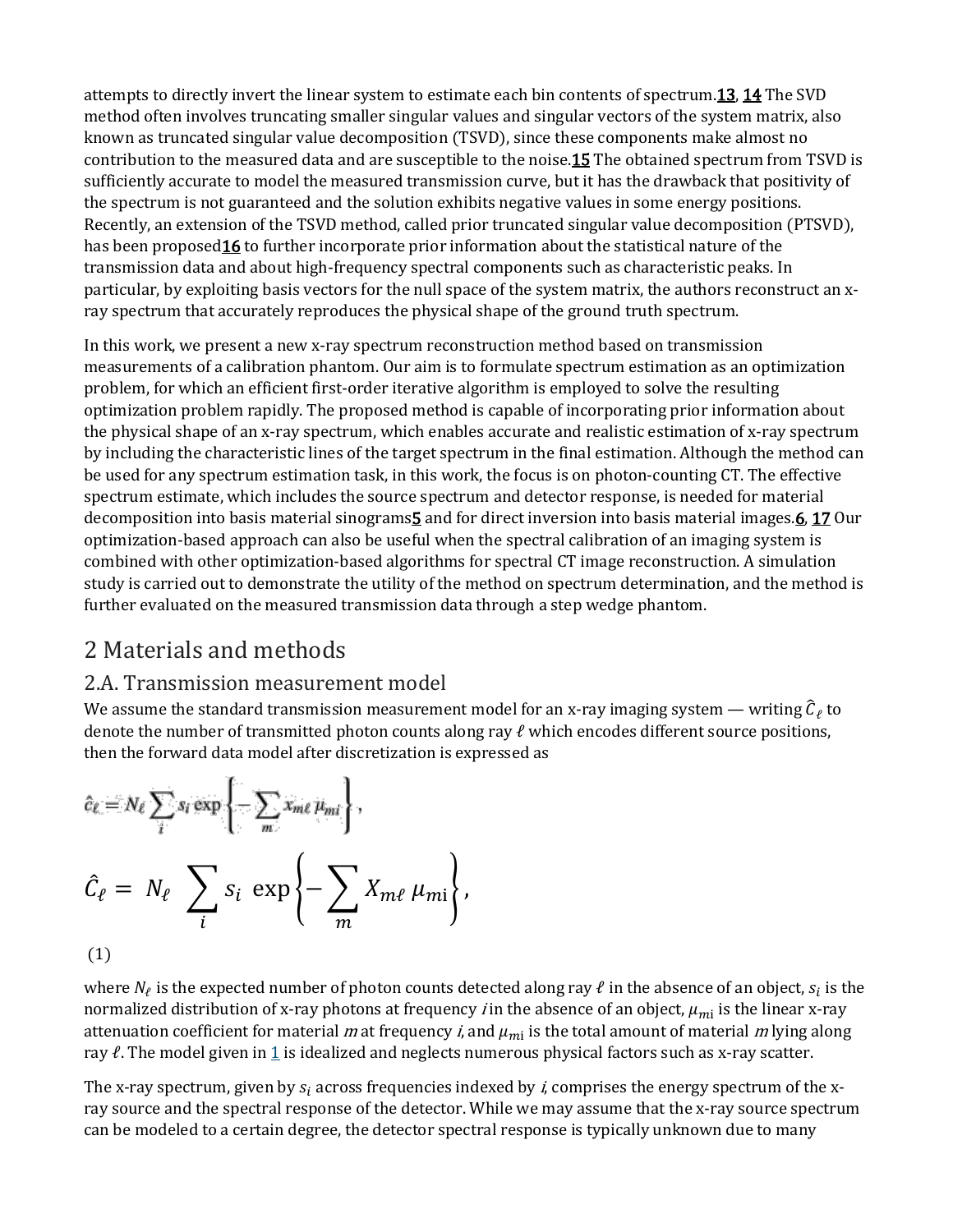attempts to directly invert the linear system to estimate each bin contents of spectrum[.13,](https://aapm.onlinelibrary.wiley.com/doi/full/10.1002/mp.13257#mp13257-bib-0013) [14](https://aapm.onlinelibrary.wiley.com/doi/full/10.1002/mp.13257#mp13257-bib-0014) The SVD method often involves truncating smaller singular values and singular vectors of the system matrix, also known as truncated singular value decomposition (TSVD), since these components make almost no contribution to the measured data and are susceptible to the nois[e.15](https://aapm.onlinelibrary.wiley.com/doi/full/10.1002/mp.13257#mp13257-bib-0015) The obtained spectrum from TSVD is sufficiently accurate to model the measured transmission curve, but it has the drawback that positivity of the spectrum is not guaranteed and the solution exhibits negative values in some energy positions. Recently, an extension of the TSVD method, called prior truncated singular value decomposition (PTSVD), has been proposed 16 to further incorporate prior information about the statistical nature of the transmission data and about high-frequency spectral components such as characteristic peaks. In particular, by exploiting basis vectors for the null space of the system matrix, the authors reconstruct an xray spectrum that accurately reproduces the physical shape of the ground truth spectrum.

In this work, we present a new x-ray spectrum reconstruction method based on transmission measurements of a calibration phantom. Our aim is to formulate spectrum estimation as an optimization problem, for which an efficient first-order iterative algorithm is employed to solve the resulting optimization problem rapidly. The proposed method is capable of incorporating prior information about the physical shape of an x-ray spectrum, which enables accurate and realistic estimation of x-ray spectrum by including the characteristic lines of the target spectrum in the final estimation. Although the method can be used for any spectrum estimation task, in this work, the focus is on photon-counting CT. The effective spectrum estimate, which includes the source spectrum and detector response, is needed for material decomposition into basis material sinograms $\overline{5}$  and for direct inversion into basis material images. $\overline{6}$ ,  $\overline{17}$  $\overline{17}$  $\overline{17}$  Our optimization-based approach can also be useful when the spectral calibration of an imaging system is combined with other optimization-based algorithms for spectral CT image reconstruction. A simulation study is carried out to demonstrate the utility of the method on spectrum determination, and the method is further evaluated on the measured transmission data through a step wedge phantom.

# 2 Materials and methods

### 2.A. Transmission measurement model

We assume the standard transmission measurement model for an x-ray imaging system — writing  $\hat{C}_\ell$  to denote the number of transmitted photon counts along ray  $\ell$  which encodes different source positions, then the forward data model after discretization is expressed as

$$
\hat{c}_{\ell} = N_{\ell} \sum_{i} s_{i} \exp \left\{-\sum_{m} x_{m\ell} \mu_{mi}\right\},\
$$
\n
$$
\hat{C}_{\ell} = N_{\ell} \sum_{i} s_{i} \exp \left\{-\sum_{m} X_{m\ell} \mu_{mi}\right\},\
$$
\n(1)

where  $N_\ell$  is the expected number of photon counts detected along ray  $\ell$  in the absence of an object,  $s_i$  is the normalized distribution of x-ray photons at frequency *i* in the absence of an object,  $\mu_{mi}$  is the linear x-ray attenuation coefficient for material m at frequency *i*, and  $\mu_{mi}$  is the total amount of material m lying along ray  $\ell$ . The model given in [1](https://aapm.onlinelibrary.wiley.com/doi/full/10.1002/mp.13257#mp13257-disp-0001) is idealized and neglects numerous physical factors such as x-ray scatter.

The x-ray spectrum, given by  $s_i$  across frequencies indexed by *i*, comprises the energy spectrum of the xray source and the spectral response of the detector. While we may assume that the x-ray source spectrum can be modeled to a certain degree, the detector spectral response is typically unknown due to many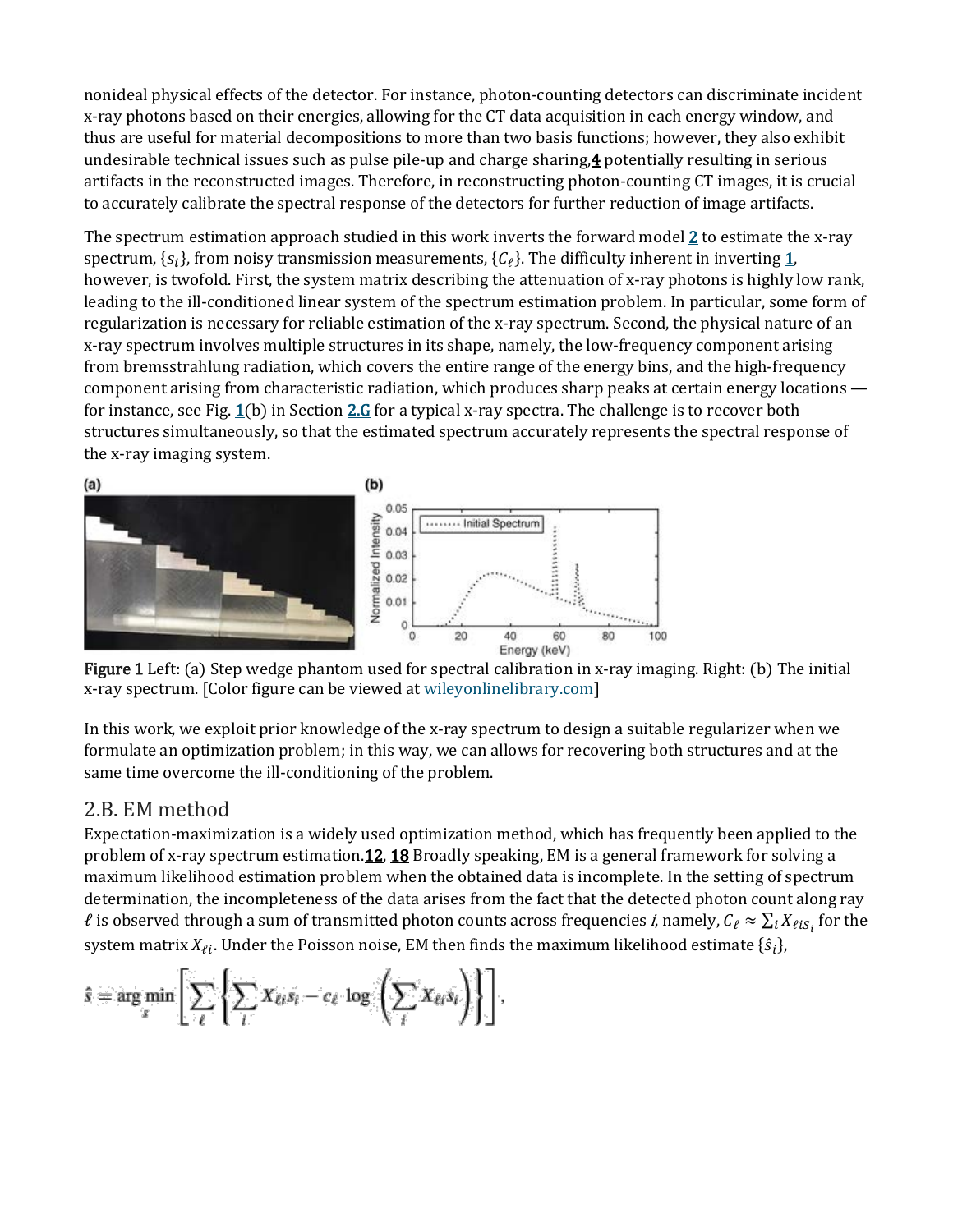nonideal physical effects of the detector. For instance, photon-counting detectors can discriminate incident x-ray photons based on their energies, allowing for the CT data acquisition in each energy window, and thus are useful for material decompositions to more than two basis functions; however, they also exhibit undesirable technical issues such as pulse pile-up and charge sharing[,4](https://aapm.onlinelibrary.wiley.com/doi/full/10.1002/mp.13257#mp13257-bib-0004) potentially resulting in serious artifacts in the reconstructed images. Therefore, in reconstructing photon-counting CT images, it is crucial to accurately calibrate the spectral response of the detectors for further reduction of image artifacts.

The spectrum estimation approach studied in this work inverts the forward model  $2$  to estimate the x-ray spectrum,  $\{s_i\}$ , from noisy transmission measurements,  $\{C_\ell\}$ . The difficulty inherent in inverting [1,](https://aapm.onlinelibrary.wiley.com/doi/full/10.1002/mp.13257#mp13257-disp-0001) however, is twofold. First, the system matrix describing the attenuation of x-ray photons is highly low rank, leading to the ill-conditioned linear system of the spectrum estimation problem. In particular, some form of regularization is necessary for reliable estimation of the x-ray spectrum. Second, the physical nature of an x-ray spectrum involves multiple structures in its shape, namely, the low-frequency component arising from bremsstrahlung radiation, which covers the entire range of the energy bins, and the high-frequency component arising from characteristic radiation, which produces sharp peaks at certain energy locations for instance, see Fig.  $\underline{1}(b)$  in Section  $\underline{2.G}$  $\underline{2.G}$  $\underline{2.G}$  for a typical x-ray spectra. The challenge is to recover both structures simultaneously, so that the estimated spectrum accurately represents the spectral response of the x-ray imaging system.



Figure 1 Left: (a) Step wedge phantom used for spectral calibration in x-ray imaging. Right: (b) The initial x-ray spectrum. [Color figure can be viewed at [wileyonlinelibrary.com\]](http://wileyonlinelibrary.com/)

In this work, we exploit prior knowledge of the x-ray spectrum to design a suitable regularizer when we formulate an optimization problem; in this way, we can allows for recovering both structures and at the same time overcome the ill-conditioning of the problem.

#### 2.B. EM method

Expectation-maximization is a widely used optimization method, which has frequently been applied to the problem of x-ray spectrum estimatio[n.12,](https://aapm.onlinelibrary.wiley.com/doi/full/10.1002/mp.13257#mp13257-bib-0012) [18](https://aapm.onlinelibrary.wiley.com/doi/full/10.1002/mp.13257#mp13257-bib-0018) Broadly speaking, EM is a general framework for solving a maximum likelihood estimation problem when the obtained data is incomplete. In the setting of spectrum determination, the incompleteness of the data arises from the fact that the detected photon count along ray  $\ell$  is observed through a sum of transmitted photon counts across frequencies *i*, namely,  $C_\ell \approx \sum_i X_{\ell i S_i}$  for the system matrix  $X_{\ell i}$ . Under the Poisson noise, EM then finds the maximum likelihood estimate { $\hat{s}_i$ },

$$
\hat{s} = \arg\min_s \left[ \sum_{\ell} \left\{ \sum_{L} X_{\ell i} s_i - c_{\ell} \log \left( \sum_{i} X_{\ell i} s_i \right) \right\} \right],
$$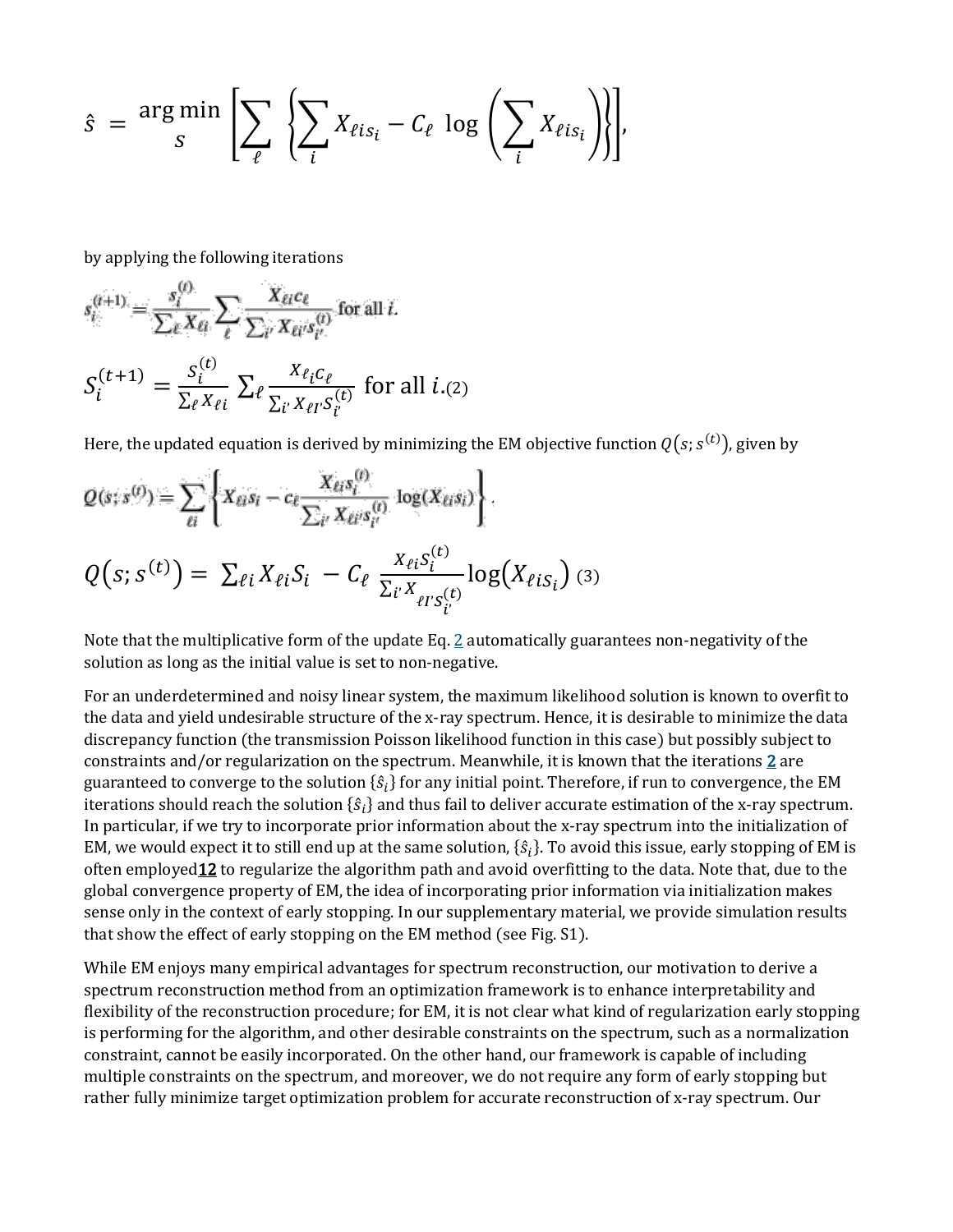$$
\hat{s} = \frac{\arg \min_{s} \left[ \sum_{\ell} \left\{ \sum_{i} X_{\ell i s_{i}} - C_{\ell} \log \left( \sum_{i} X_{\ell i s_{i}} \right) \right\} \right],
$$

by applying the following iterations

$$
s_i^{(t+1)} = \frac{s_i^{(t)}}{\sum_{\ell} x_{\ell i}} \sum_{\ell} \frac{X_{\ell i} c_{\ell}}{\sum_{i'} X_{\ell i'} s_{i'}^{(t)}} \text{ for all } i.
$$
  

$$
S_i^{(t+1)} = \frac{s_i^{(t)}}{\sum_{\ell} x_{\ell i}} \sum_{\ell} \frac{X_{\ell i} c_{\ell}}{\sum_{i'} X_{\ell i'} s_{i'}^{(t)}} \text{ for all } i. (2)
$$

Here, the updated equation is derived by minimizing the EM objective function  $Q\!\left(s;s^{\left(t\right)}\right)$ , given by

$$
Q(s; s^{(t)}) = \sum_{\ell i} \left\{ X_{\ell i} s_i - c_{\ell} \frac{X_{\ell i} s_i^{(t)}}{\sum_{i'} X_{\ell i'} s_{i'}^{(t)}} \log(X_{\ell i} s_i) \right\}.
$$
  

$$
Q(s; s^{(t)}) = \sum_{\ell i} X_{\ell i} S_i - C_{\ell} \frac{X_{\ell i} s_i^{(t)}}{\sum_{i'} X_{\ell i'} s_{i'}^{(t)}} \log(X_{\ell i} s_i) \tag{3}
$$

Note that the multiplicative form of the update Eq. [2](https://aapm.onlinelibrary.wiley.com/doi/full/10.1002/mp.13257#mp13257-disp-0003) automatically guarantees non-negativity of the solution as long as the initial value is set to non-negative.

For an underdetermined and noisy linear system, the maximum likelihood solution is known to overfit to the data and yield undesirable structure of the x-ray spectrum. Hence, it is desirable to minimize the data discrepancy function (the transmission Poisson likelihood function in this case) but possibly subject to constraints and/or regularization on the spectrum. Meanwhile, it is known that the iterations [2](https://aapm.onlinelibrary.wiley.com/doi/full/10.1002/mp.13257#mp13257-disp-0003) are guaranteed to converge to the solution  $\{\hat{s}_i\}$  for any initial point. Therefore, if run to convergence, the EM iterations should reach the solution  $\{\hat{s}_i\}$  and thus fail to deliver accurate estimation of the x-ray spectrum. In particular, if we try to incorporate prior information about the x-ray spectrum into the initialization of EM, we would expect it to still end up at the same solution, { $\hat{s}_i$ }. To avoid this issue, early stopping of EM is often employed 12 to regularize the algorithm path and avoid overfitting to the data. Note that, due to the global convergence property of EM, the idea of incorporating prior information via initialization makes sense only in the context of early stopping. In our supplementary material, we provide simulation results that show the effect of early stopping on the EM method (see Fig. S1).

While EM enjoys many empirical advantages for spectrum reconstruction, our motivation to derive a spectrum reconstruction method from an optimization framework is to enhance interpretability and flexibility of the reconstruction procedure; for EM, it is not clear what kind of regularization early stopping is performing for the algorithm, and other desirable constraints on the spectrum, such as a normalization constraint, cannot be easily incorporated. On the other hand, our framework is capable of including multiple constraints on the spectrum, and moreover, we do not require any form of early stopping but rather fully minimize target optimization problem for accurate reconstruction of x-ray spectrum. Our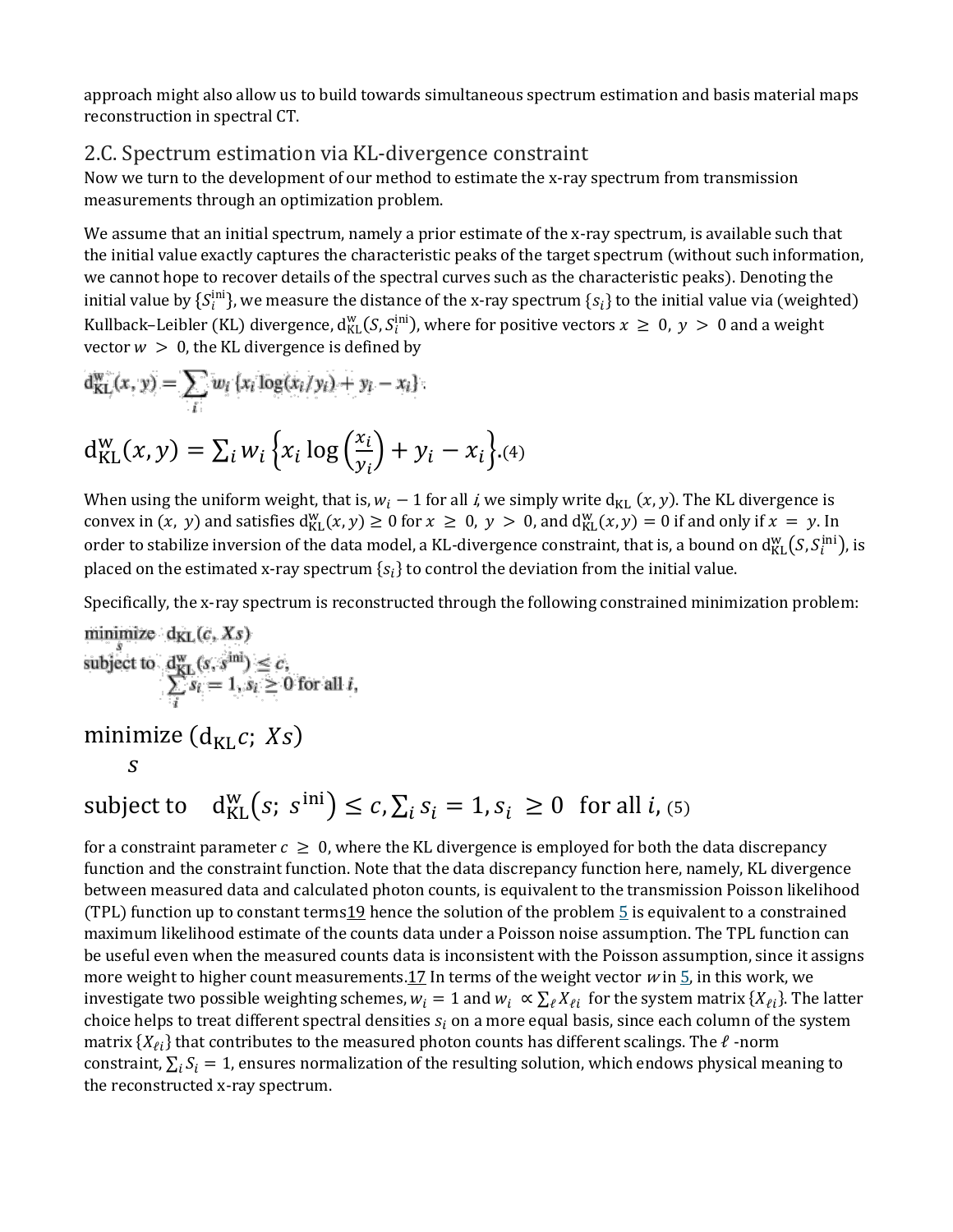approach might also allow us to build towards simultaneous spectrum estimation and basis material maps reconstruction in spectral CT.

#### 2.C. Spectrum estimation via KL-divergence constraint

Now we turn to the development of our method to estimate the x-ray spectrum from transmission measurements through an optimization problem.

We assume that an initial spectrum, namely a prior estimate of the x-ray spectrum, is available such that the initial value exactly captures the characteristic peaks of the target spectrum (without such information, we cannot hope to recover details of the spectral curves such as the characteristic peaks). Denoting the initial value by  $\{S^{\text{nn}}_i\}$ , we measure the distance of the x-ray spectrum  $\{s_i\}$  to the initial value via (weighted) Kullback–Leibler (KL) divergence,  $d_{KL}^{w}(S, S_i^{ini})$ , where for positive vectors  $x \ge 0$ ,  $y > 0$  and a weight vector  $w > 0$ , the KL divergence is defined by

$$
d_{KL}^{w}(x, y) = \sum_{i} w_i \{x_i \log(x_i/y_i) + y_i - x_i\}
$$

$$
d_{KL}^{w}(x, y) = \sum_{i} w_i \{x_i \log\left(\frac{x_i}{y_i}\right) + y_i - x_i\}.
$$
(4)

When using the uniform weight, that is,  $w_i - 1$  for all *i*, we simply write  $d_{KL}(x, y)$ . The KL divergence is convex in  $(x, y)$  and satisfies  $d_{KL}^w(x, y) \ge 0$  for  $x \ge 0$ ,  $y > 0$ , and  $d_{KL}^w(x, y) = 0$  if and only if  $x = y$ . In order to stabilize inversion of the data model, a KL-divergence constraint, that is, a bound on  $\rm{d}_{KL}^{w}(S,S_{i}^{\rm{nn}})$ , is placed on the estimated x-ray spectrum  $\{s_i\}$  to control the deviation from the initial value.

Specifically, the x-ray spectrum is reconstructed through the following constrained minimization problem:

minimize 
$$
d_{KL}(c, Xs)
$$
  
\nsubject to  $\frac{d_{KL}^{w}(s, s^{\text{ini}})}{\sum_{i} s_i} \leq c$ ,  
\nminimize  $(d_{KL} c; Xs)$   
\nS

# subject to  $d_{KL}^{w}(s; s^{ini}) \leq c, \sum_i s_i = 1, s_i \geq 0$  for all *i*, (5)

for a constraint parameter  $c \geq 0$ , where the KL divergence is employed for both the data discrepancy function and the constraint function. Note that the data discrepancy function here, namely, KL divergence between measured data and calculated photon counts, is equivalent to the transmission Poisson likelihood (TPL) function up to constant terms  $19$  hence the solution of the problem  $\frac{5}{5}$  $\frac{5}{5}$  $\frac{5}{5}$  is equivalent to a constrained maximum likelihood estimate of the counts data under a Poisson noise assumption. The TPL function can be useful even when the measured counts data is inconsistent with the Poisson assumption, since it assigns more weight to higher count measurements[.17](https://aapm.onlinelibrary.wiley.com/doi/full/10.1002/mp.13257#mp13257-bib-0017) In terms of the weight vector  $w$  in  $\frac{5}{2}$ , in this work, we investigate two possible weighting schemes,  $w_i = 1$  and  $w_i \propto \sum_{\ell} X_{\ell i}$  for the system matrix  $\{X_{\ell i}\}\$ . The latter choice helps to treat different spectral densities  $s_i$  on a more equal basis, since each column of the system matrix  $\{X_{\ell i}\}$  that contributes to the measured photon counts has different scalings. The  $\ell$  -norm constraint,  $\sum_i S_i = 1$ , ensures normalization of the resulting solution, which endows physical meaning to the reconstructed x-ray spectrum.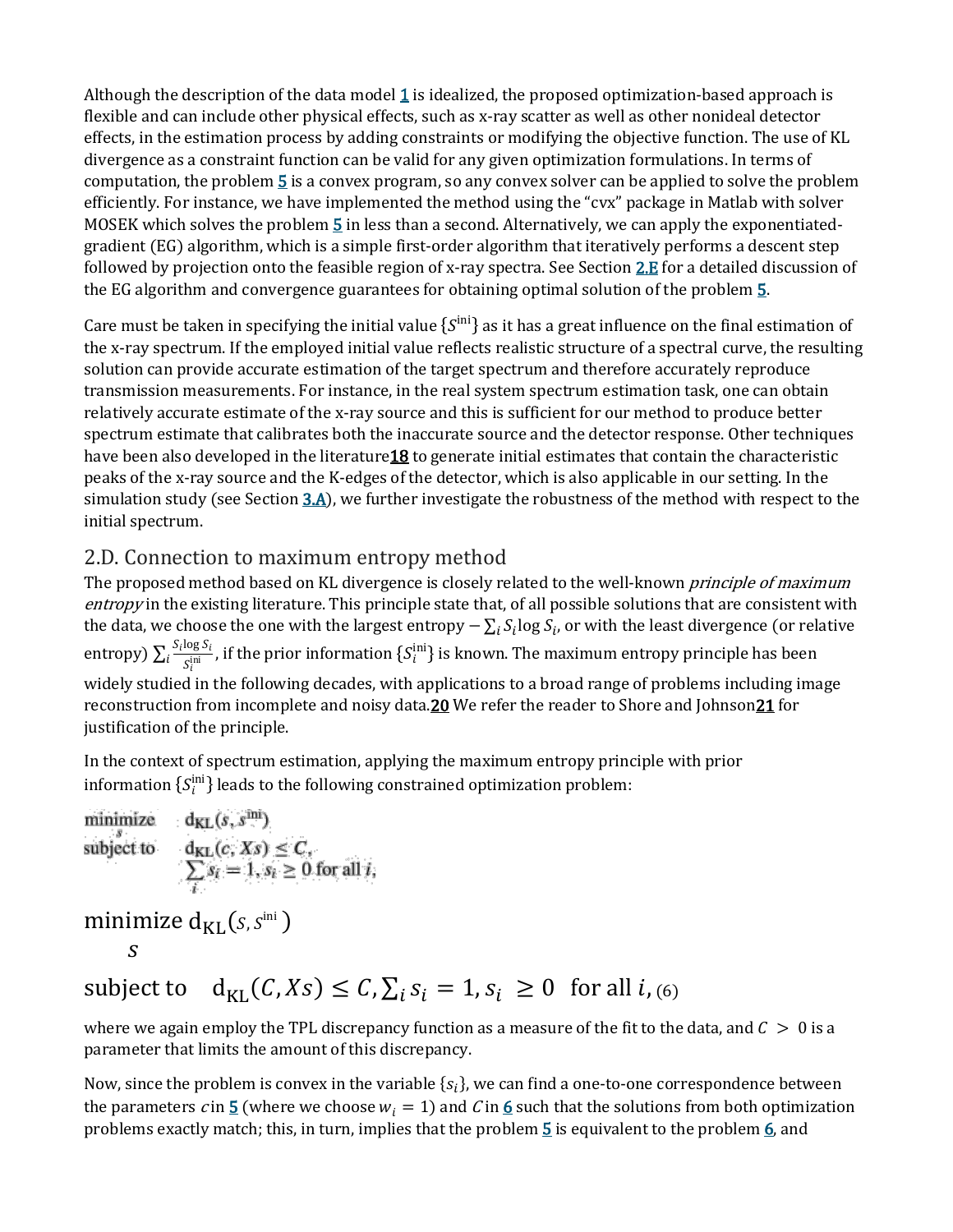Although the description of the data model  $1$  is idealized, the proposed optimization-based approach is flexible and can include other physical effects, such as x-ray scatter as well as other nonideal detector effects, in the estimation process by adding constraints or modifying the objective function. The use of KL divergence as a constraint function can be valid for any given optimization formulations. In terms of computation, the problem [5](https://aapm.onlinelibrary.wiley.com/doi/full/10.1002/mp.13257#mp13257-disp-0006) is a convex program, so any convex solver can be applied to solve the problem efficiently. For instance, we have implemented the method using the "cvx" package in Matlab with solver MOSEK which solves the problem [5](https://aapm.onlinelibrary.wiley.com/doi/full/10.1002/mp.13257#mp13257-disp-0006) in less than a second. Alternatively, we can apply the exponentiatedgradient (EG) algorithm, which is a simple first-order algorithm that iteratively performs a descent step followed by projection onto the feasible region of x-ray spectra. See Section [2.E](https://aapm.onlinelibrary.wiley.com/doi/full/10.1002/mp.13257#mp13257-sec-0011) for a detailed discussion of the EG algorithm and convergence guarantees for obtaining optimal solution of the problem [5.](https://aapm.onlinelibrary.wiley.com/doi/full/10.1002/mp.13257#mp13257-disp-0006)

Care must be taken in specifying the initial value  $\{S^{\text{ini}}\}$  as it has a great influence on the final estimation of the x-ray spectrum. If the employed initial value reflects realistic structure of a spectral curve, the resulting solution can provide accurate estimation of the target spectrum and therefore accurately reproduce transmission measurements. For instance, in the real system spectrum estimation task, one can obtain relatively accurate estimate of the x-ray source and this is sufficient for our method to produce better spectrum estimate that calibrates both the inaccurate source and the detector response. Other techniques have been also developed in the literature 18 to generate initial estimates that contain the characteristic peaks of the x-ray source and the K-edges of the detector, which is also applicable in our setting. In the simulation study (see Section [3.A\)](https://aapm.onlinelibrary.wiley.com/doi/full/10.1002/mp.13257#mp13257-sec-0015), we further investigate the robustness of the method with respect to the initial spectrum.

### 2.D. Connection to maximum entropy method

The proposed method based on KL divergence is closely related to the well-known *principle of maximum* entropy in the existing literature. This principle state that, of all possible solutions that are consistent with the data, we choose the one with the largest entropy  $-\sum_i S_i \log S_i$ , or with the least divergence (or relative entropy)  $\sum_i \frac{S_i \log S_i}{S_i^{\text{ini}}}$ , if the prior information  $\{S_i^{\text{ini}}\}$  is known. The maximum entropy principle has been widely studied in the following decades, with applications to a broad range of problems including image reconstruction from incomplete and noisy data. 20 We refer the reader to Shore and Johnson 21 for justification of the principle.

In the context of spectrum estimation, applying the maximum entropy principle with prior information  $\{S^{\text{ini}}_i\}$  leads to the following constrained optimization problem:

$$
\begin{array}{c}\text{minimize } d_{KL}(s, s^{\text{ini}}) \\ s\end{array}
$$

subject to  $d_{KL}(C, X_s) \leq C$ ,  $\sum_i s_i = 1$ ,  $s_i \geq 0$  for all  $i$ , (6)

where we again employ the TPL discrepancy function as a measure of the fit to the data, and  $\mathcal{C} > 0$  is a parameter that limits the amount of this discrepancy.

Now, since the problem is convex in the variable  $\{s_i\}$ , we can find a one-to-one correspondence between the parameters c in  $\underline{5}$  $\underline{5}$  $\underline{5}$  (where we choose  $w_i = 1$ ) and C in  $\underline{6}$  $\underline{6}$  $\underline{6}$  such that the solutions from both optimization problems exactly match; this, in turn, implies that the problem  $\frac{5}{2}$  $\frac{5}{2}$  $\frac{5}{2}$  is equivalent to the problem  $\frac{6}{2}$ , and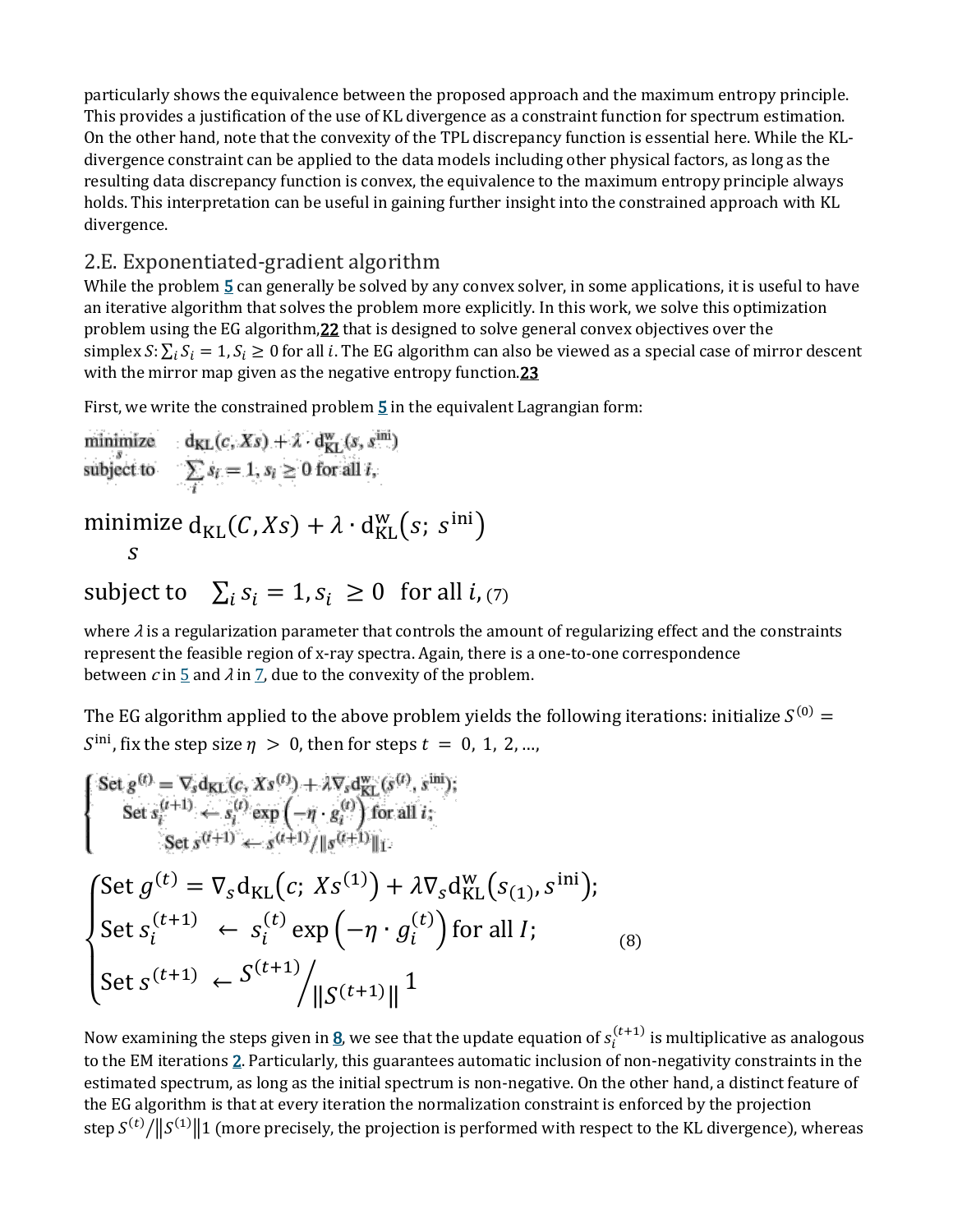particularly shows the equivalence between the proposed approach and the maximum entropy principle. This provides a justification of the use of KL divergence as a constraint function for spectrum estimation. On the other hand, note that the convexity of the TPL discrepancy function is essential here. While the KLdivergence constraint can be applied to the data models including other physical factors, as long as the resulting data discrepancy function is convex, the equivalence to the maximum entropy principle always holds. This interpretation can be useful in gaining further insight into the constrained approach with KL divergence.

### 2.E. Exponentiated-gradient algorithm

While the problem [5](https://aapm.onlinelibrary.wiley.com/doi/full/10.1002/mp.13257#mp13257-disp-0006) can generally be solved by any convex solver, in some applications, it is useful to have an iterative algorithm that solves the problem more explicitly. In this work, we solve this optimization problem using the EG algorithm, 22 that is designed to solve general convex objectives over the simplex  $S: \sum_i S_i = 1, S_i \geq 0$  for all *i*. The EG algorithm can also be viewed as a special case of mirror descent with the mirror map given as the negative entropy function.<sup>23</sup>

First, we write the constrained problem  $\frac{5}{2}$  $\frac{5}{2}$  $\frac{5}{2}$  in the equivalent Lagrangian form:

minimize 
$$
d_{KL}(c, Xs) + \lambda \cdot d_{KL}^w(s, s^{ini})
$$
  
\nsubject to  $\sum_i s_i = 1, s_i \ge 0$  for all  $i$ ,  
\nminimize  $d_{KL}(C, Xs) + \lambda \cdot d_{KL}^w(s; s^{ini})$   
\n $s$ 

subject to  $\sum_i s_i = 1, s_i \geq 0$  for all  $i, \tau$ 

where  $\lambda$  is a regularization parameter that controls the amount of regularizing effect and the constraints represent the feasible region of x-ray spectra. Again, there is a one-to-one correspondence between  $c$  in  $\frac{5}{2}$  $\frac{5}{2}$  $\frac{5}{2}$  and  $\lambda$  in  $\frac{7}{2}$ , due to the convexity of the problem.

The EG algorithm applied to the above problem yields the following iterations: initialize  $S^{(0)}$  =  $\delta^{\text{ini}}$ , fix the step size  $\eta > 0$ , then for steps  $t = 0, 1, 2, ...$ 

$$
\begin{cases}\n\text{Set } g^{(t)} = \nabla_s \mathbf{d}_{KL}(c, Xs^{(t)}) + \lambda \nabla_s \mathbf{d}_{KL}^{\text{w}}(s^{(t)}, s^{\text{ini}}); \\
\text{Set } s_i^{(t+1)} \leftarrow s_i^{(t)} \exp\left(-\eta \cdot g_i^{(t)}\right) \text{ for all } i; \\
\text{Set } g^{(t+1)} \leftarrow s^{(t+1)} / \|\mathbf{g}^{(t+1)}\|_1.\n\end{cases}
$$
\n
$$
\begin{cases}\n\text{Set } g^{(t)} = \nabla_s \mathbf{d}_{KL}\left(c, Xs^{(1)}\right) + \lambda \nabla_s \mathbf{d}_{KL}^{\text{w}}\left(s_{(1)}, s^{\text{ini}}\right); \\
\text{Set } s_i^{(t+1)} \leftarrow s_i^{(t)} \exp\left(-\eta \cdot g_i^{(t)}\right) \text{ for all } I; \\
\text{Set } s^{(t+1)} \leftarrow S^{(t+1)} / \|\mathbf{S}^{(t+1)}\| \|^2\n\end{cases} \tag{8}
$$

Now examining the steps given in <u>8</u>, we see that the update equation of  $s_i^{(t+1)}$  is multiplicative as analogous to the EM iterations [2.](https://aapm.onlinelibrary.wiley.com/doi/full/10.1002/mp.13257#mp13257-disp-0003) Particularly, this guarantees automatic inclusion of non-negativity constraints in the estimated spectrum, as long as the initial spectrum is non-negative. On the other hand, a distinct feature of the EG algorithm is that at every iteration the normalization constraint is enforced by the projection step  $S^{(t)}/\|S^{(1)}\|$  (more precisely, the projection is performed with respect to the KL divergence), whereas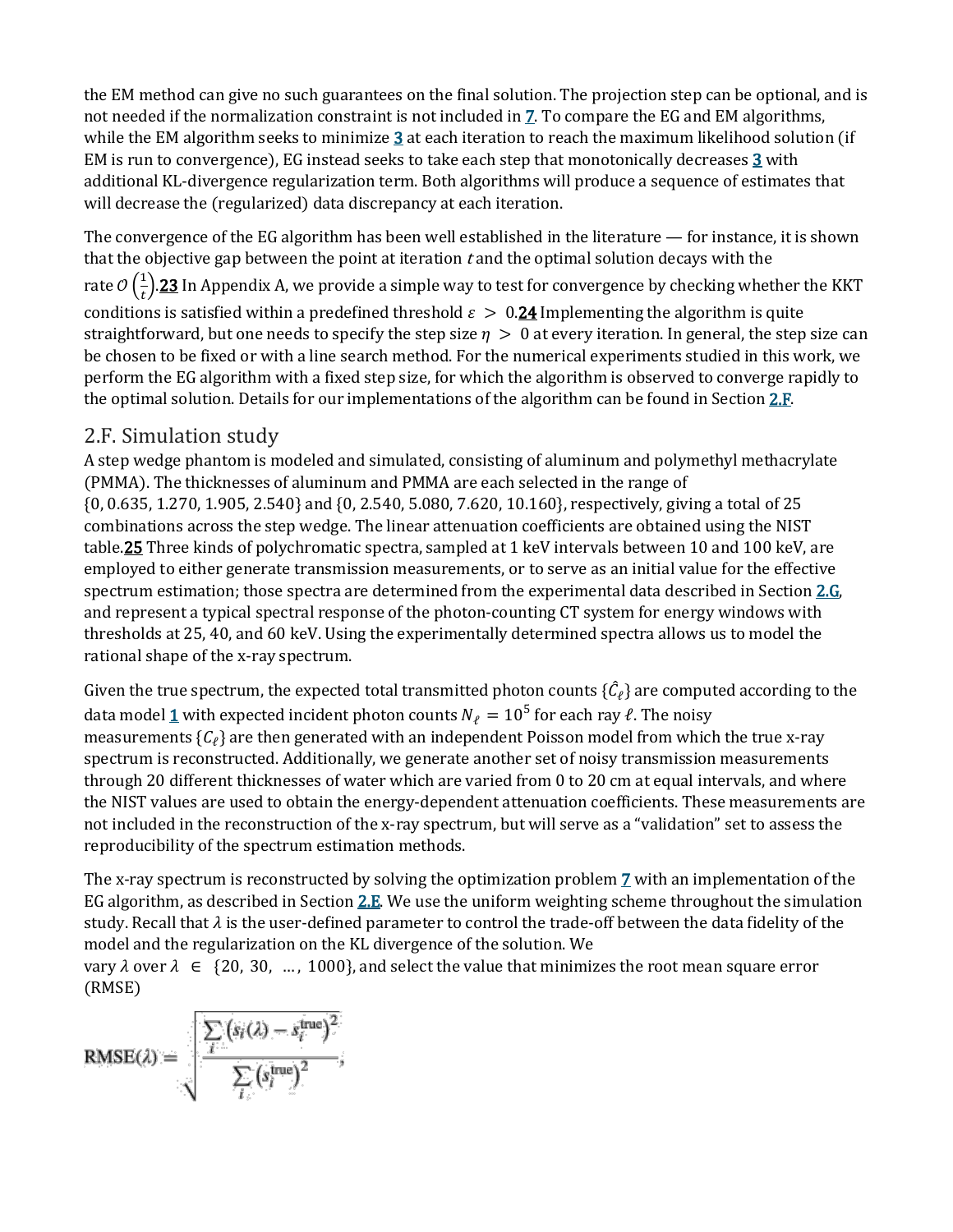the EM method can give no such guarantees on the final solution. The projection step can be optional, and is not needed if the normalization constraint is not included in [7.](https://aapm.onlinelibrary.wiley.com/doi/full/10.1002/mp.13257#mp13257-disp-0008) To compare the EG and EM algorithms, while the EM algorithm seeks to minimize [3](https://aapm.onlinelibrary.wiley.com/doi/full/10.1002/mp.13257#mp13257-disp-0004) at each iteration to reach the maximum likelihood solution (if EM is run to convergence), EG instead seeks to take each step that monotonically decreases [3](https://aapm.onlinelibrary.wiley.com/doi/full/10.1002/mp.13257#mp13257-disp-0004) with additional KL-divergence regularization term. Both algorithms will produce a sequence of estimates that will decrease the (regularized) data discrepancy at each iteration.

The convergence of the EG algorithm has been well established in the literature — for instance, it is shown that the objective gap between the point at iteration  $t$  and the optimal solution decays with the rate  $\mathcal{O}\left(\frac{1}{t}\right)$  $\frac{1}{t}$  ). $\frac{23}{2}$  In Appendix A, we provide a simple way to test for convergence by checking whether the KKT conditions is satisfied within a predefined threshold  $\varepsilon > 0.24$  $\varepsilon > 0.24$  Implementing the algorithm is quite straightforward, but one needs to specify the step size  $\eta > 0$  at every iteration. In general, the step size can be chosen to be fixed or with a line search method. For the numerical experiments studied in this work, we perform the EG algorithm with a fixed step size, for which the algorithm is observed to converge rapidly to the optimal solution. Details for our implementations of the algorithm can be found in Section [2.F.](https://aapm.onlinelibrary.wiley.com/doi/full/10.1002/mp.13257#mp13257-sec-0013)

### 2.F. Simulation study

A step wedge phantom is modeled and simulated, consisting of aluminum and polymethyl methacrylate (PMMA). The thicknesses of aluminum and PMMA are each selected in the range of {0, 0.635, 1.270, 1.905, 2.540} and {0, 2.540, 5.080, 7.620, 10.160}, respectively, giving a total of 25 combinations across the step wedge. The linear attenuation coefficients are obtained using the NIST tabl[e.25](https://aapm.onlinelibrary.wiley.com/doi/full/10.1002/mp.13257#mp13257-bib-0025) Three kinds of polychromatic spectra, sampled at 1 keV intervals between 10 and 100 keV, are employed to either generate transmission measurements, or to serve as an initial value for the effective spectrum estimation; those spectra are determined from the experimental data described in Section [2.G,](https://aapm.onlinelibrary.wiley.com/doi/full/10.1002/mp.13257#mp13257-sec-0013)  and represent a typical spectral response of the photon-counting CT system for energy windows with thresholds at 25, 40, and 60 keV. Using the experimentally determined spectra allows us to model the rational shape of the x-ray spectrum.

Given the true spectrum, the expected total transmitted photon counts  $\{\hat{C}_\ell\}$  are computed according to the data model [1](https://aapm.onlinelibrary.wiley.com/doi/full/10.1002/mp.13257#mp13257-disp-0001) with expected incident photon counts  $N_\ell = 10^5$  for each ray  $\ell$ . The noisy measurements  ${C_\ell}$  are then generated with an independent Poisson model from which the true x-ray spectrum is reconstructed. Additionally, we generate another set of noisy transmission measurements through 20 different thicknesses of water which are varied from 0 to 20 cm at equal intervals, and where the NIST values are used to obtain the energy-dependent attenuation coefficients. These measurements are not included in the reconstruction of the x-ray spectrum, but will serve as a "validation" set to assess the reproducibility of the spectrum estimation methods.

The x-ray spectrum is reconstructed by solving the optimization problem [7](https://aapm.onlinelibrary.wiley.com/doi/full/10.1002/mp.13257#mp13257-disp-0008) with an implementation of the EG algorithm, as described in Section [2.E.](https://aapm.onlinelibrary.wiley.com/doi/full/10.1002/mp.13257#mp13257-sec-0011) We use the uniform weighting scheme throughout the simulation study. Recall that  $\lambda$  is the user-defined parameter to control the trade-off between the data fidelity of the model and the regularization on the KL divergence of the solution. We

vary  $\lambda$  over  $\lambda \in \{20, 30, ..., 1000\}$ , and select the value that minimizes the root mean square error (RMSE)

RMSE(
$$
\lambda
$$
) = 
$$
\frac{\sum_i (s_i(\lambda) - s_i^{\text{true}})^2}{\sum_i (s_i^{\text{true}})^2},
$$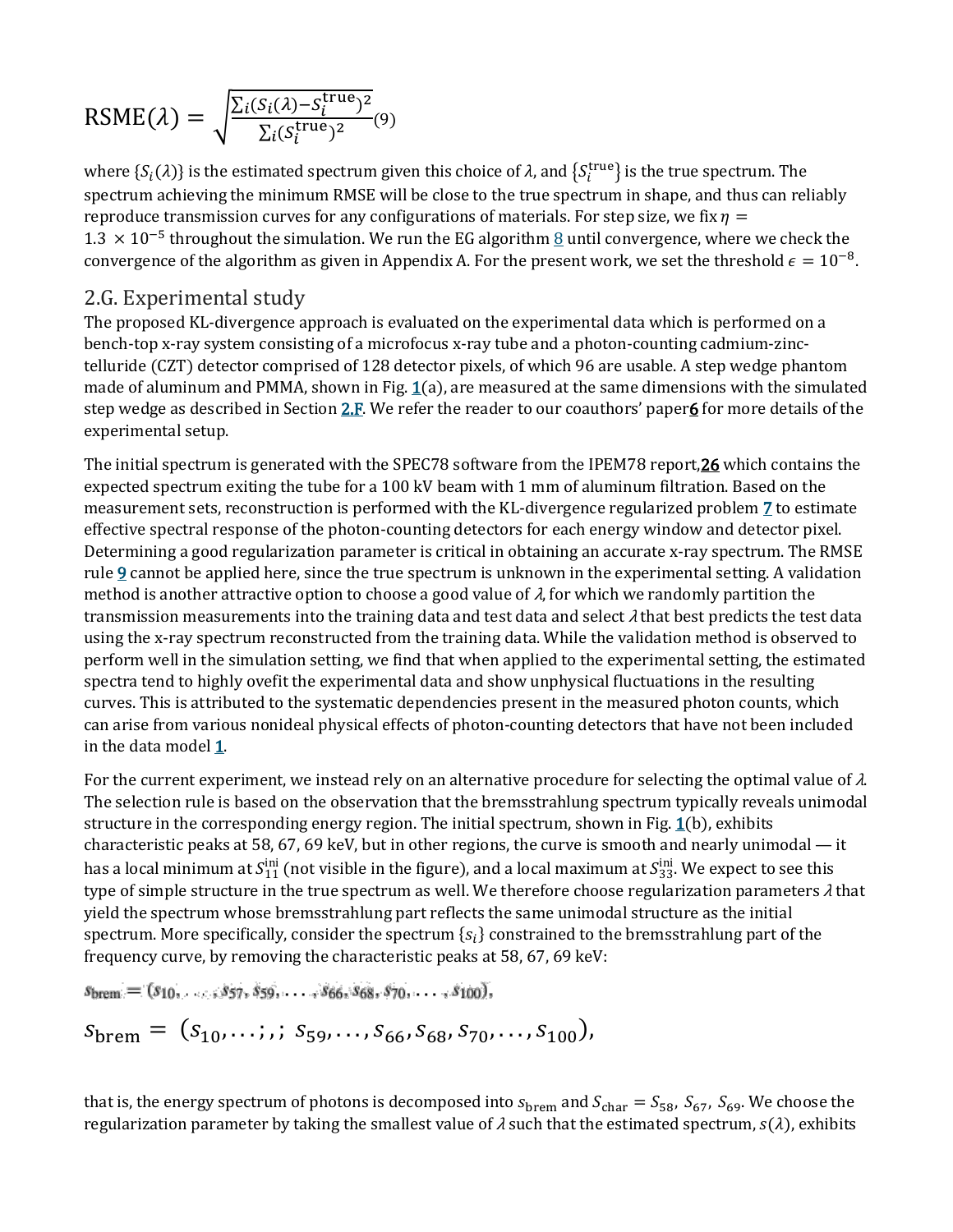$$
RSME(\lambda) = \sqrt{\frac{\Sigma_i(S_i(\lambda) - S_i^{\text{true}})^2}{\Sigma_i(S_i^{\text{true}})^2}}(9)
$$

where  $\{S_i(\lambda)\}$  is the estimated spectrum given this choice of  $\lambda$ , and  $\{S_i^{\text{true}}\}$  is the true spectrum. The spectrum achieving the minimum RMSE will be close to the true spectrum in shape, and thus can reliably reproduce transmission curves for any configurations of materials. For step size, we fix  $\eta =$ 1.3 × 10<sup>-5</sup> throughout the simulation. We run the EG algorithm [8](https://aapm.onlinelibrary.wiley.com/doi/full/10.1002/mp.13257#mp13257-disp-0009) until convergence, where we check the convergence of the algorithm as given in Appendix A. For the present work, we set the threshold  $\epsilon = 10^{-8}$ .

#### 2.G. Experimental study

The proposed KL-divergence approach is evaluated on the experimental data which is performed on a bench-top x-ray system consisting of a microfocus x-ray tube and a photon-counting cadmium-zinctelluride (CZT) detector comprised of 128 detector pixels, of which 96 are usable. A step wedge phantom made of aluminum and PMMA, shown in Fig.  $1(a)$  $1(a)$ , are measured at the same dimensions with the simulated step wedge as described in Section [2.F.](https://aapm.onlinelibrary.wiley.com/doi/full/10.1002/mp.13257#mp13257-sec-0012) We refer the reader to our coauthors' paper 6 for more details of the experimental setup.

The initial spectrum is generated with the SPEC78 software from the IPEM78 repor[t,26](https://aapm.onlinelibrary.wiley.com/doi/full/10.1002/mp.13257#mp13257-bib-0026) which contains the expected spectrum exiting the tube for a 100 kV beam with 1 mm of aluminum filtration. Based on the measurement sets, reconstruction is performed with the KL-divergence regularized problem [7](https://aapm.onlinelibrary.wiley.com/doi/full/10.1002/mp.13257#mp13257-disp-0008) to estimate effective spectral response of the photon-counting detectors for each energy window and detector pixel. Determining a good regularization parameter is critical in obtaining an accurate x-ray spectrum. The RMSE rule [9](https://aapm.onlinelibrary.wiley.com/doi/full/10.1002/mp.13257#mp13257-disp-0010) cannot be applied here, since the true spectrum is unknown in the experimental setting. A validation method is another attractive option to choose a good value of  $\lambda$ , for which we randomly partition the transmission measurements into the training data and test data and select  $\lambda$  that best predicts the test data using the x-ray spectrum reconstructed from the training data. While the validation method is observed to perform well in the simulation setting, we find that when applied to the experimental setting, the estimated spectra tend to highly ovefit the experimental data and show unphysical fluctuations in the resulting curves. This is attributed to the systematic dependencies present in the measured photon counts, which can arise from various nonideal physical effects of photon-counting detectors that have not been included in the data model [1.](https://aapm.onlinelibrary.wiley.com/doi/full/10.1002/mp.13257#mp13257-disp-0001)

For the current experiment, we instead rely on an alternative procedure for selecting the optimal value of  $\lambda$ . The selection rule is based on the observation that the bremsstrahlung spectrum typically reveals unimodal structure in the corresponding energy region. The initial spectrum, shown in Fig.  $\mathbf{1}(b)$ , exhibits characteristic peaks at 58, 67, 69 keV, but in other regions, the curve is smooth and nearly unimodal — it has a local minimum at  $S_{11}^{\text{in}}$  (not visible in the figure), and a local maximum at  $S_{33}^{\text{in}}$ . We expect to see this type of simple structure in the true spectrum as well. We therefore choose regularization parameters  $\lambda$  that yield the spectrum whose bremsstrahlung part reflects the same unimodal structure as the initial spectrum. More specifically, consider the spectrum  ${s_i}$  constrained to the bremsstrahlung part of the frequency curve, by removing the characteristic peaks at 58, 67, 69 keV:

 $s_{\text{brem}} = (s_{10}, \ldots, s_{57}, s_{59}, \ldots, s_{66}, s_{68}, s_{70}, \ldots, s_{100}),$  $S_{\text{brem}} = (s_{10}, \ldots; s_{59}, \ldots, s_{66}, s_{68}, s_{70}, \ldots, s_{100}),$ 

that is, the energy spectrum of photons is decomposed into  $s_{\text{brem}}$  and  $S_{\text{char}} = S_{58}$ ,  $S_{67}$ ,  $S_{69}$ . We choose the regularization parameter by taking the smallest value of  $\lambda$  such that the estimated spectrum,  $s(\lambda)$ , exhibits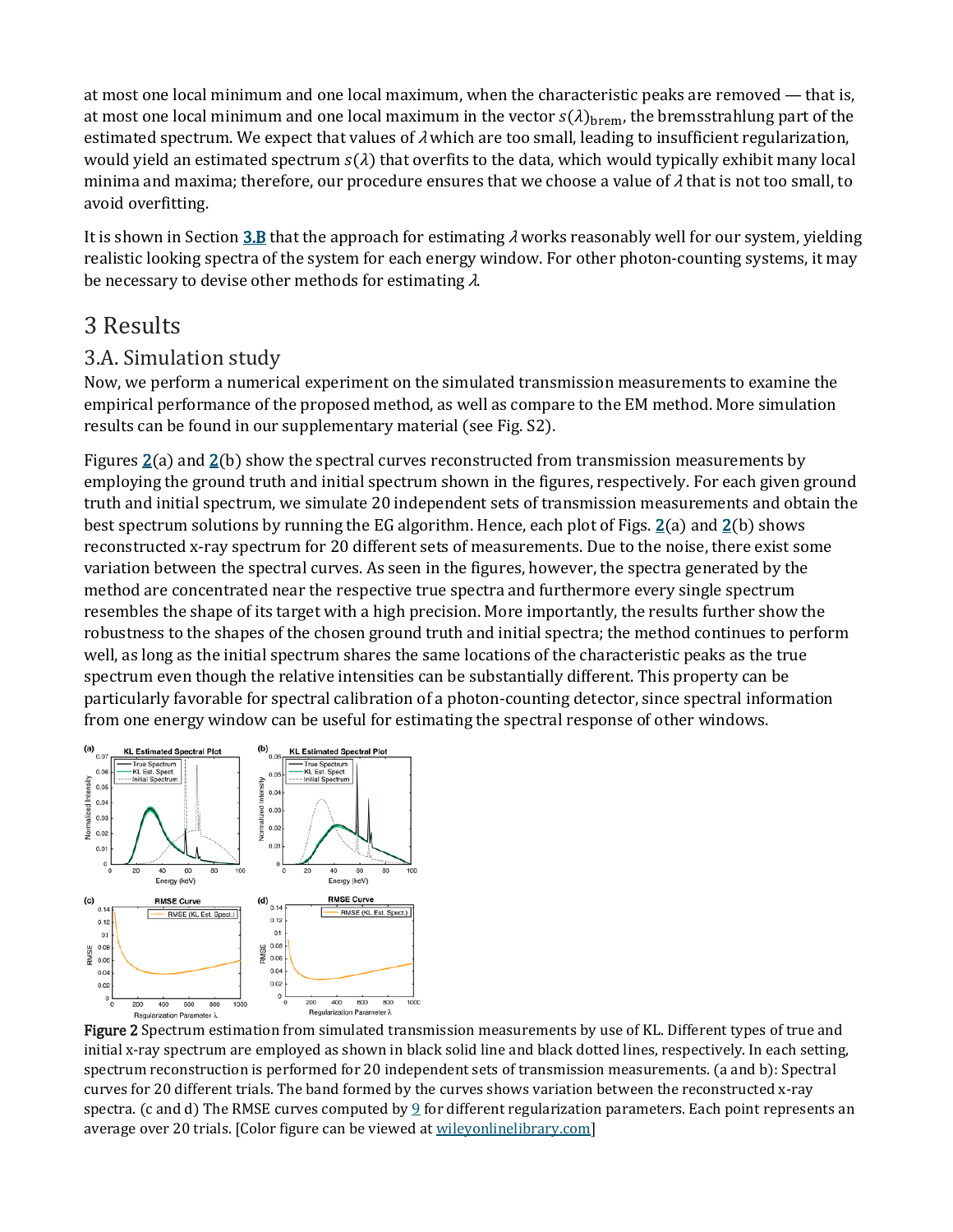at most one local minimum and one local maximum, when the characteristic peaks are removed — that is, at most one local minimum and one local maximum in the vector  $s(\lambda)_{\text{brem}}$ , the bremsstrahlung part of the estimated spectrum. We expect that values of  $\lambda$  which are too small, leading to insufficient regularization, would yield an estimated spectrum  $s(\lambda)$  that overfits to the data, which would typically exhibit many local minima and maxima; therefore, our procedure ensures that we choose a value of  $\lambda$  that is not too small, to avoid overfitting.

It is shown in Section [3.B](https://aapm.onlinelibrary.wiley.com/doi/full/10.1002/mp.13257#mp13257-sec-0016) that the approach for estimating  $\lambda$  works reasonably well for our system, yielding realistic looking spectra of the system for each energy window. For other photon-counting systems, it may be necessary to devise other methods for estimating <sup>λ</sup>.

## 3 Results

### 3.A. Simulation study

Now, we perform a numerical experiment on the simulated transmission measurements to examine the empirical performance of the proposed method, as well as compare to the EM method. More simulation results can be found in our supplementary material (see Fig. S2).

Figures  $2(a)$  $2(a)$  and  $2(b)$  show the spectral curves reconstructed from transmission measurements by employing the ground truth and initial spectrum shown in the figures, respectively. For each given ground truth and initial spectrum, we simulate 20 independent sets of transmission measurements and obtain the best spectrum solutions by running the EG algorithm. Hence, each plot of Figs.  $2(a)$  $2(a)$  and  $2(b)$  shows reconstructed x-ray spectrum for 20 different sets of measurements. Due to the noise, there exist some variation between the spectral curves. As seen in the figures, however, the spectra generated by the method are concentrated near the respective true spectra and furthermore every single spectrum resembles the shape of its target with a high precision. More importantly, the results further show the robustness to the shapes of the chosen ground truth and initial spectra; the method continues to perform well, as long as the initial spectrum shares the same locations of the characteristic peaks as the true spectrum even though the relative intensities can be substantially different. This property can be particularly favorable for spectral calibration of a photon-counting detector, since spectral information from one energy window can be useful for estimating the spectral response of other windows.



Figure 2 Spectrum estimation from simulated transmission measurements by use of KL. Different types of true and initial x-ray spectrum are employed as shown in black solid line and black dotted lines, respectively. In each setting, spectrum reconstruction is performed for 20 independent sets of transmission measurements. (a and b): Spectral curves for 20 different trials. The band formed by the curves shows variation between the reconstructed x-ray spectra. (c and d) The RMSE curves computed by [9](https://aapm.onlinelibrary.wiley.com/doi/full/10.1002/mp.13257#mp13257-disp-0010) for different regularization parameters. Each point represents an average over 20 trials. [Color figure can be viewed at [wileyonlinelibrary.com\]](http://wileyonlinelibrary.com/)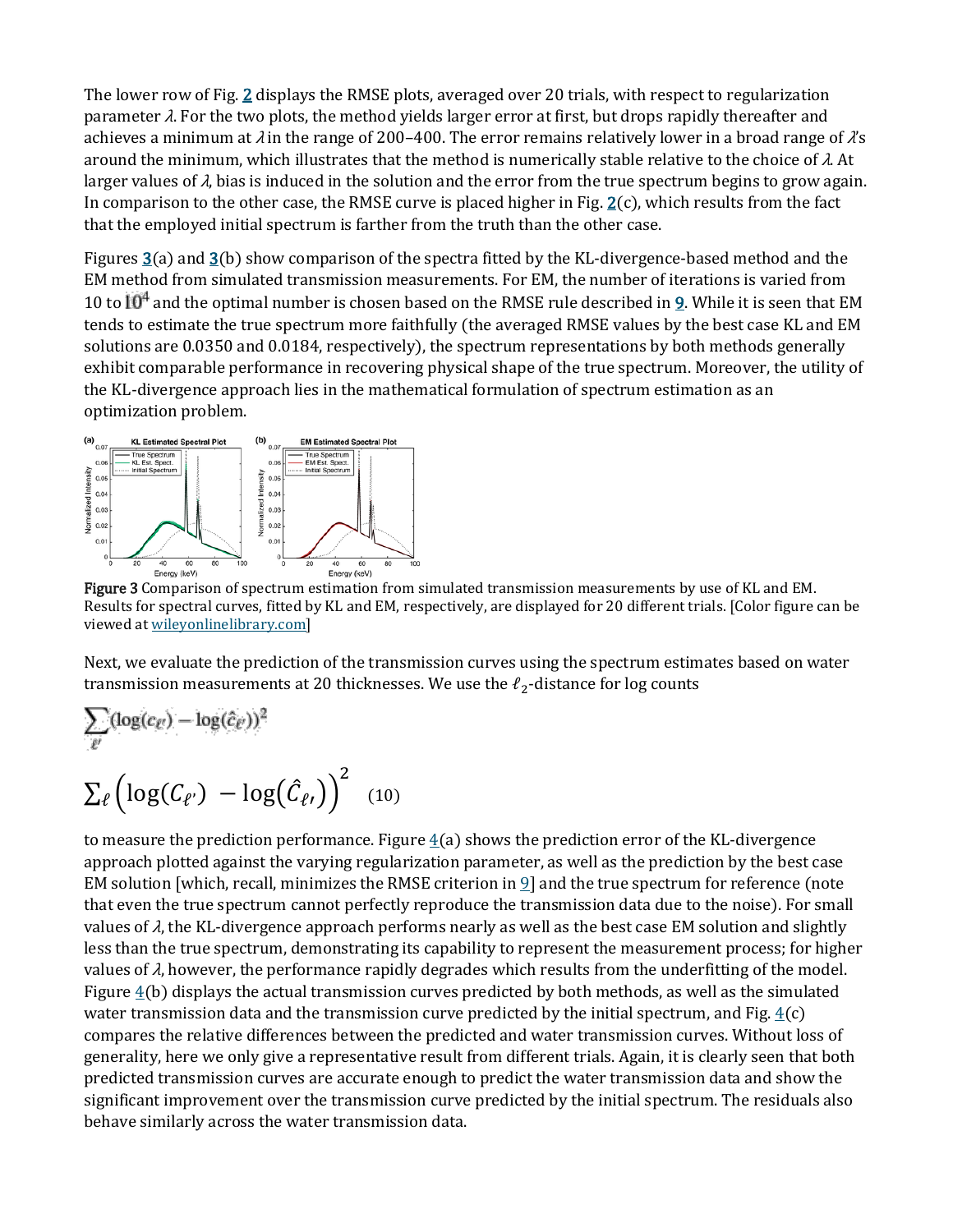The lower row of Fig. [2](https://aapm.onlinelibrary.wiley.com/doi/full/10.1002/mp.13257#mp13257-fig-0002) displays the RMSE plots, averaged over 20 trials, with respect to regularization parameter  $\lambda$ . For the two plots, the method yields larger error at first, but drops rapidly thereafter and achieves a minimum at  $\lambda$  in the range of 200–400. The error remains relatively lower in a broad range of  $\lambda$ 's around the minimum, which illustrates that the method is numerically stable relative to the choice of  $\lambda$ . At larger values of  $\lambda$ , bias is induced in the solution and the error from the true spectrum begins to grow again. In comparison to the other case, the RMSE curve is placed higher in Fig.  $2(c)$  $2(c)$ , which results from the fact that the employed initial spectrum is farther from the truth than the other case.

Figures [3\(](https://aapm.onlinelibrary.wiley.com/doi/full/10.1002/mp.13257#mp13257-fig-0003)a) and [3\(](https://aapm.onlinelibrary.wiley.com/doi/full/10.1002/mp.13257#mp13257-fig-0003)b) show comparison of the spectra fitted by the KL-divergence-based method and the EM method from simulated transmission measurements. For EM, the number of iterations is varied from 10 to  $10^4$  and the optimal number is chosen based on the RMSE rule described in [9.](https://aapm.onlinelibrary.wiley.com/doi/full/10.1002/mp.13257#mp13257-disp-0010) While it is seen that EM tends to estimate the true spectrum more faithfully (the averaged RMSE values by the best case KL and EM solutions are 0.0350 and 0.0184, respectively), the spectrum representations by both methods generally exhibit comparable performance in recovering physical shape of the true spectrum. Moreover, the utility of the KL-divergence approach lies in the mathematical formulation of spectrum estimation as an optimization problem.



Figure 3 Comparison of spectrum estimation from simulated transmission measurements by use of KL and EM. Results for spectral curves, fitted by KL and EM, respectively, are displayed for 20 different trials. [Color figure can be viewed at [wileyonlinelibrary.com\]](http://wileyonlinelibrary.com/)

Next, we evaluate the prediction of the transmission curves using the spectrum estimates based on water transmission measurements at 20 thicknesses. We use the  $\ell_2$ -distance for log counts

$$
\sum_{\ell'} (\log(c_{\ell'}) - \log(\hat{c}_{\ell'}))^2
$$
  

$$
\sum_{\ell} (\log(C_{\ell'}) - \log(\hat{C}_{\ell'})^2)
$$
 (10)

to measure the prediction performance. Figure  $4(a)$  $4(a)$  shows the prediction error of the KL-divergence approach plotted against the varying regularization parameter, as well as the prediction by the best case EM solution [which, recall, minimizes the RMSE criterion in  $\mathfrak{q}$ ] and the true spectrum for reference (note that even the true spectrum cannot perfectly reproduce the transmission data due to the noise). For small values of  $\lambda$ , the KL-divergence approach performs nearly as well as the best case EM solution and slightly less than the true spectrum, demonstrating its capability to represent the measurement process; for higher values of  $\lambda$ , however, the performance rapidly degrades which results from the underfitting of the model. Figure  $4(b)$  $4(b)$  displays the actual transmission curves predicted by both methods, as well as the simulated water transmission data and the transmission curve predicted by the initial spectrum, and Fig.  $4(c)$  $4(c)$ compares the relative differences between the predicted and water transmission curves. Without loss of generality, here we only give a representative result from different trials. Again, it is clearly seen that both predicted transmission curves are accurate enough to predict the water transmission data and show the significant improvement over the transmission curve predicted by the initial spectrum. The residuals also behave similarly across the water transmission data.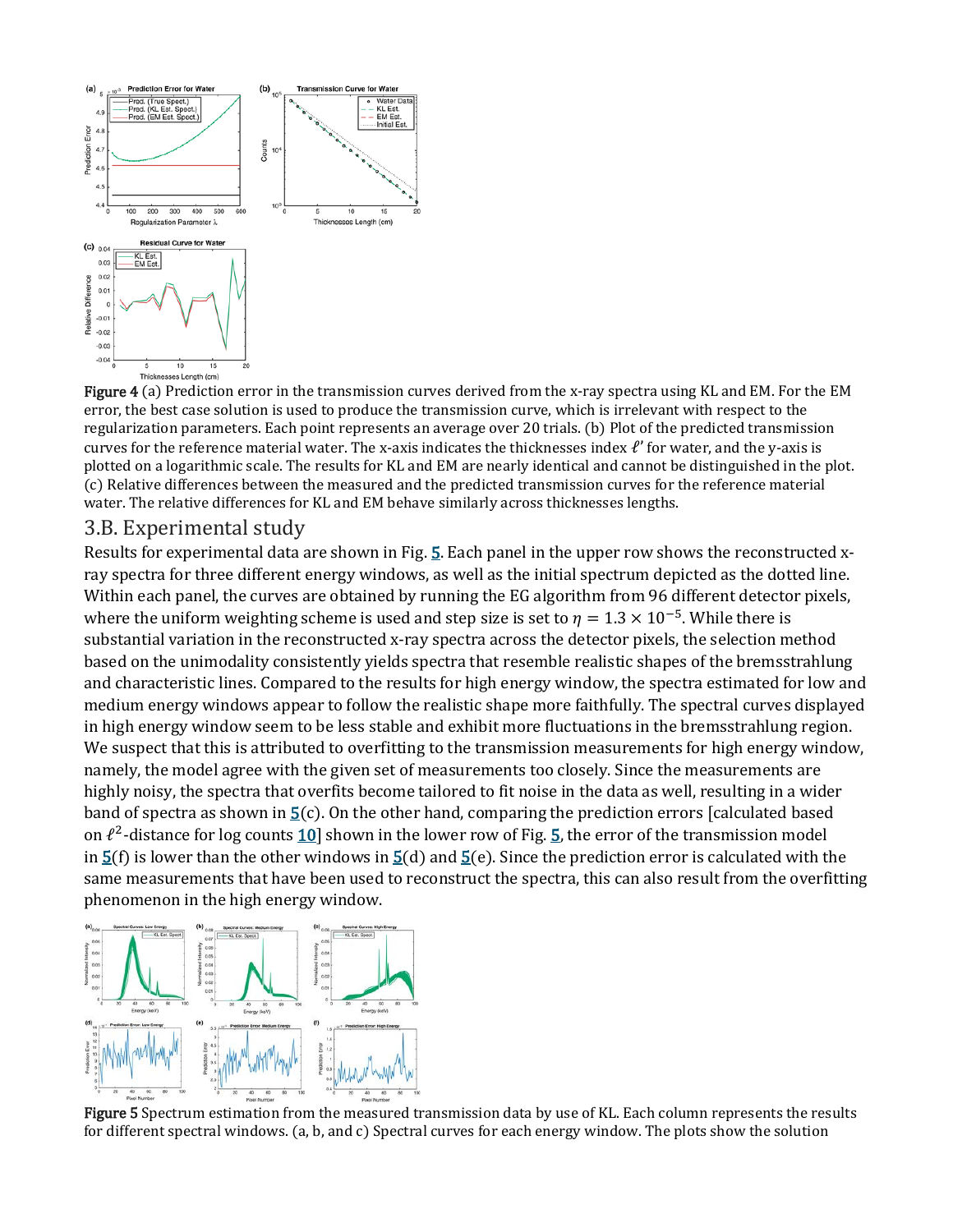

Figure 4 (a) Prediction error in the transmission curves derived from the x-ray spectra using KL and EM. For the EM error, the best case solution is used to produce the transmission curve, which is irrelevant with respect to the regularization parameters. Each point represents an average over 20 trials. (b) Plot of the predicted transmission curves for the reference material water. The x-axis indicates the thicknesses index  $\ell'$  for water, and the y-axis is plotted on a logarithmic scale. The results for KL and EM are nearly identical and cannot be distinguished in the plot. (c) Relative differences between the measured and the predicted transmission curves for the reference material water. The relative differences for KL and EM behave similarly across thicknesses lengths.

#### 3.B. Experimental study

Results for experimental data are shown in Fig. [5.](https://aapm.onlinelibrary.wiley.com/doi/full/10.1002/mp.13257#mp13257-fig-0005) Each panel in the upper row shows the reconstructed xray spectra for three different energy windows, as well as the initial spectrum depicted as the dotted line. Within each panel, the curves are obtained by running the EG algorithm from 96 different detector pixels, where the uniform weighting scheme is used and step size is set to  $\eta = 1.3 \times 10^{-5}$ . While there is substantial variation in the reconstructed x-ray spectra across the detector pixels, the selection method based on the unimodality consistently yields spectra that resemble realistic shapes of the bremsstrahlung and characteristic lines. Compared to the results for high energy window, the spectra estimated for low and medium energy windows appear to follow the realistic shape more faithfully. The spectral curves displayed in high energy window seem to be less stable and exhibit more fluctuations in the bremsstrahlung region. We suspect that this is attributed to overfitting to the transmission measurements for high energy window, namely, the model agree with the given set of measurements too closely. Since the measurements are highly noisy, the spectra that overfits become tailored to fit noise in the data as well, resulting in a wider band of spectra as shown in  $\underline{5}(c)$ . On the other hand, comparing the prediction errors [calculated based on  $\ell^2$ -distance for log counts 10 shown in the lower row of Fig. [5,](https://aapm.onlinelibrary.wiley.com/doi/full/10.1002/mp.13257#mp13257-fig-0005) the error of the transmission model in  $5(f)$  $5(f)$  is lower than the other windows in  $5(d)$  and  $5(e)$ . Since the prediction error is calculated with the same measurements that have been used to reconstruct the spectra, this can also result from the overfitting phenomenon in the high energy window.



Figure 5 Spectrum estimation from the measured transmission data by use of KL. Each column represents the results for different spectral windows. (a, b, and c) Spectral curves for each energy window. The plots show the solution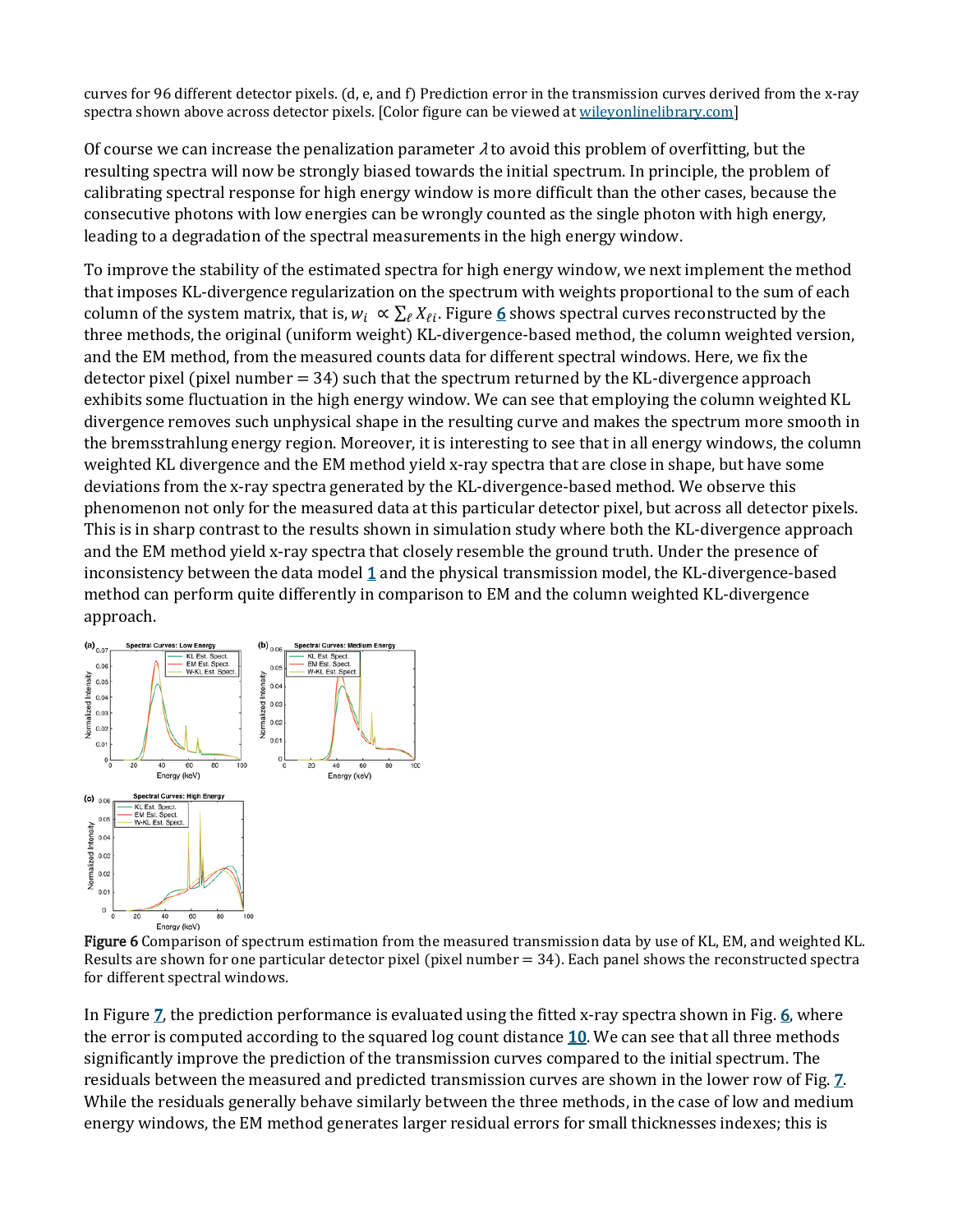curves for 96 different detector pixels. (d, e, and f) Prediction error in the transmission curves derived from the x-ray spectra shown above across detector pixels. [Color figure can be viewed at [wileyonlinelibrary.com\]](http://wileyonlinelibrary.com/)

Of course we can increase the penalization parameter  $\lambda$  to avoid this problem of overfitting, but the resulting spectra will now be strongly biased towards the initial spectrum. In principle, the problem of calibrating spectral response for high energy window is more difficult than the other cases, because the consecutive photons with low energies can be wrongly counted as the single photon with high energy, leading to a degradation of the spectral measurements in the high energy window.

To improve the stability of the estimated spectra for high energy window, we next implement the method that imposes KL-divergence regularization on the spectrum with weights proportional to the sum of each column of the system matrix, that is,  $w_i \propto \sum_{\ell} X_{\ell i}$ . Figure [6](https://aapm.onlinelibrary.wiley.com/doi/full/10.1002/mp.13257#mp13257-fig-0006) shows spectral curves reconstructed by the three methods, the original (uniform weight) KL-divergence-based method, the column weighted version, and the EM method, from the measured counts data for different spectral windows. Here, we fix the detector pixel (pixel number  $= 34$ ) such that the spectrum returned by the KL-divergence approach exhibits some fluctuation in the high energy window. We can see that employing the column weighted KL divergence removes such unphysical shape in the resulting curve and makes the spectrum more smooth in the bremsstrahlung energy region. Moreover, it is interesting to see that in all energy windows, the column weighted KL divergence and the EM method yield x-ray spectra that are close in shape, but have some deviations from the x-ray spectra generated by the KL-divergence-based method. We observe this phenomenon not only for the measured data at this particular detector pixel, but across all detector pixels. This is in sharp contrast to the results shown in simulation study where both the KL-divergence approach and the EM method yield x-ray spectra that closely resemble the ground truth. Under the presence of inconsistency between the data model  $1$  and the physical transmission model, the KL-divergence-based method can perform quite differently in comparison to EM and the column weighted KL-divergence approach.



Figure 6 Comparison of spectrum estimation from the measured transmission data by use of KL, EM, and weighted KL. Results are shown for one particular detector pixel (pixel number  $= 34$ ). Each panel shows the reconstructed spectra for different spectral windows.

In Figure Z, the prediction performance is evaluated using the fitted x-ray spectra shown in Fig. [6,](https://aapm.onlinelibrary.wiley.com/doi/full/10.1002/mp.13257#mp13257-fig-0006) where the error is computed according to the squared log count distance [10.](https://aapm.onlinelibrary.wiley.com/doi/full/10.1002/mp.13257#mp13257-disp-0012) We can see that all three methods significantly improve the prediction of the transmission curves compared to the initial spectrum. The residuals between the measured and predicted transmission curves are shown in the lower row of Fig. [7.](https://aapm.onlinelibrary.wiley.com/doi/full/10.1002/mp.13257#mp13257-fig-0007) While the residuals generally behave similarly between the three methods, in the case of low and medium energy windows, the EM method generates larger residual errors for small thicknesses indexes; this is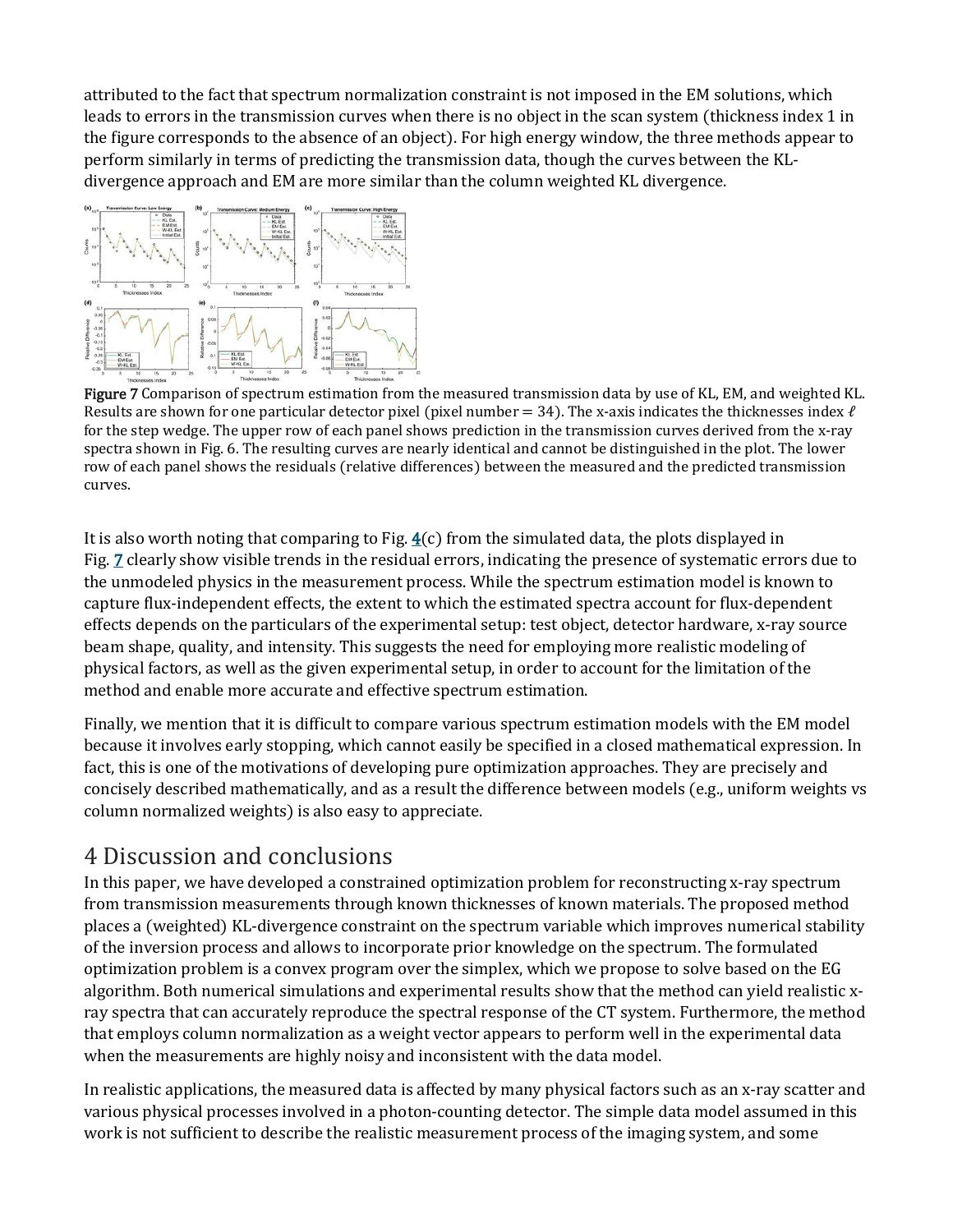attributed to the fact that spectrum normalization constraint is not imposed in the EM solutions, which leads to errors in the transmission curves when there is no object in the scan system (thickness index 1 in the figure corresponds to the absence of an object). For high energy window, the three methods appear to perform similarly in terms of predicting the transmission data, though the curves between the KLdivergence approach and EM are more similar than the column weighted KL divergence.



Figure 7 Comparison of spectrum estimation from the measured transmission data by use of KL, EM, and weighted KL. Results are shown for one particular detector pixel (pixel number = 34). The x-axis indicates the thicknesses index  $\ell$ for the step wedge. The upper row of each panel shows prediction in the transmission curves derived from the x-ray spectra shown in Fig. 6. The resulting curves are nearly identical and cannot be distinguished in the plot. The lower row of each panel shows the residuals (relative differences) between the measured and the predicted transmission curves.

It is also worth noting that comparing to Fig.  $4(c)$  $4(c)$  from the simulated data, the plots displayed in Fig. [7](https://aapm.onlinelibrary.wiley.com/doi/full/10.1002/mp.13257#mp13257-fig-0007) clearly show visible trends in the residual errors, indicating the presence of systematic errors due to the unmodeled physics in the measurement process. While the spectrum estimation model is known to capture flux-independent effects, the extent to which the estimated spectra account for flux-dependent effects depends on the particulars of the experimental setup: test object, detector hardware, x-ray source beam shape, quality, and intensity. This suggests the need for employing more realistic modeling of physical factors, as well as the given experimental setup, in order to account for the limitation of the method and enable more accurate and effective spectrum estimation.

Finally, we mention that it is difficult to compare various spectrum estimation models with the EM model because it involves early stopping, which cannot easily be specified in a closed mathematical expression. In fact, this is one of the motivations of developing pure optimization approaches. They are precisely and concisely described mathematically, and as a result the difference between models (e.g., uniform weights vs column normalized weights) is also easy to appreciate.

# 4 Discussion and conclusions

In this paper, we have developed a constrained optimization problem for reconstructing x-ray spectrum from transmission measurements through known thicknesses of known materials. The proposed method places a (weighted) KL-divergence constraint on the spectrum variable which improves numerical stability of the inversion process and allows to incorporate prior knowledge on the spectrum. The formulated optimization problem is a convex program over the simplex, which we propose to solve based on the EG algorithm. Both numerical simulations and experimental results show that the method can yield realistic xray spectra that can accurately reproduce the spectral response of the CT system. Furthermore, the method that employs column normalization as a weight vector appears to perform well in the experimental data when the measurements are highly noisy and inconsistent with the data model.

In realistic applications, the measured data is affected by many physical factors such as an x-ray scatter and various physical processes involved in a photon-counting detector. The simple data model assumed in this work is not sufficient to describe the realistic measurement process of the imaging system, and some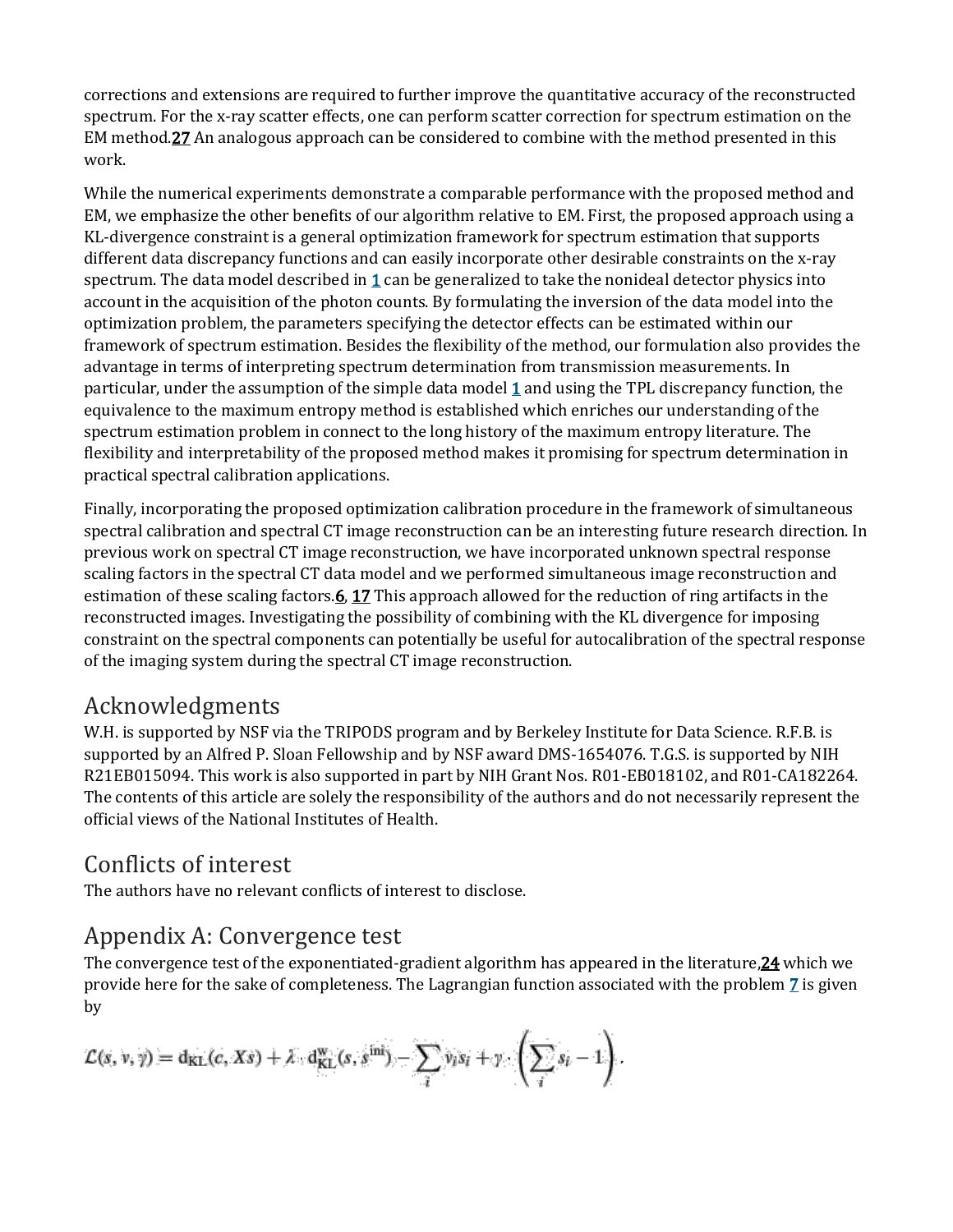corrections and extensions are required to further improve the quantitative accuracy of the reconstructed spectrum. For the x-ray scatter effects, one can perform scatter correction for spectrum estimation on the EM metho[d.27](https://aapm.onlinelibrary.wiley.com/doi/full/10.1002/mp.13257#mp13257-bib-0027) An analogous approach can be considered to combine with the method presented in this work.

While the numerical experiments demonstrate a comparable performance with the proposed method and EM, we emphasize the other benefits of our algorithm relative to EM. First, the proposed approach using a KL-divergence constraint is a general optimization framework for spectrum estimation that supports different data discrepancy functions and can easily incorporate other desirable constraints on the x-ray spectrum. The data model described in  $1$  can be generalized to take the nonideal detector physics into account in the acquisition of the photon counts. By formulating the inversion of the data model into the optimization problem, the parameters specifying the detector effects can be estimated within our framework of spectrum estimation. Besides the flexibility of the method, our formulation also provides the advantage in terms of interpreting spectrum determination from transmission measurements. In particular, under the assumption of the simple data model [1](https://aapm.onlinelibrary.wiley.com/doi/full/10.1002/mp.13257#mp13257-disp-0001) and using the TPL discrepancy function, the equivalence to the maximum entropy method is established which enriches our understanding of the spectrum estimation problem in connect to the long history of the maximum entropy literature. The flexibility and interpretability of the proposed method makes it promising for spectrum determination in practical spectral calibration applications.

Finally, incorporating the proposed optimization calibration procedure in the framework of simultaneous spectral calibration and spectral CT image reconstruction can be an interesting future research direction. In previous work on spectral CT image reconstruction, we have incorporated unknown spectral response scaling factors in the spectral CT data model and we performed simultaneous image reconstruction and estimation of these scaling factors. **6, [17](https://aapm.onlinelibrary.wiley.com/doi/full/10.1002/mp.13257#mp13257-bib-0017)** This approach allowed for the reduction of ring artifacts in the reconstructed images. Investigating the possibility of combining with the KL divergence for imposing constraint on the spectral components can potentially be useful for autocalibration of the spectral response of the imaging system during the spectral CT image reconstruction.

# Acknowledgments

W.H. is supported by NSF via the TRIPODS program and by Berkeley Institute for Data Science. R.F.B. is supported by an Alfred P. Sloan Fellowship and by NSF award DMS-1654076. T.G.S. is supported by NIH R21EB015094. This work is also supported in part by NIH Grant Nos. R01-EB018102, and R01-CA182264. The contents of this article are solely the responsibility of the authors and do not necessarily represent the official views of the National Institutes of Health.

# Conflicts of interest

The authors have no relevant conflicts of interest to disclose.

# Appendix A: Convergence test

The convergence test of the exponentiated-gradient algorithm has appeared in the literature, $24$  which we provide here for the sake of completeness. The Lagrangian function associated with the problem [7](https://aapm.onlinelibrary.wiley.com/doi/full/10.1002/mp.13257#mp13257-disp-0008) is given by

$$
\mathcal{L}(s, v, \gamma) = d_{KL}(c, Xs) + \lambda \cdot d_{KL}^{w}(s, s^{\text{ini}}) - \sum_{i} v_i s_i + \gamma \cdot \left(\sum_{i} s_i - 1\right).
$$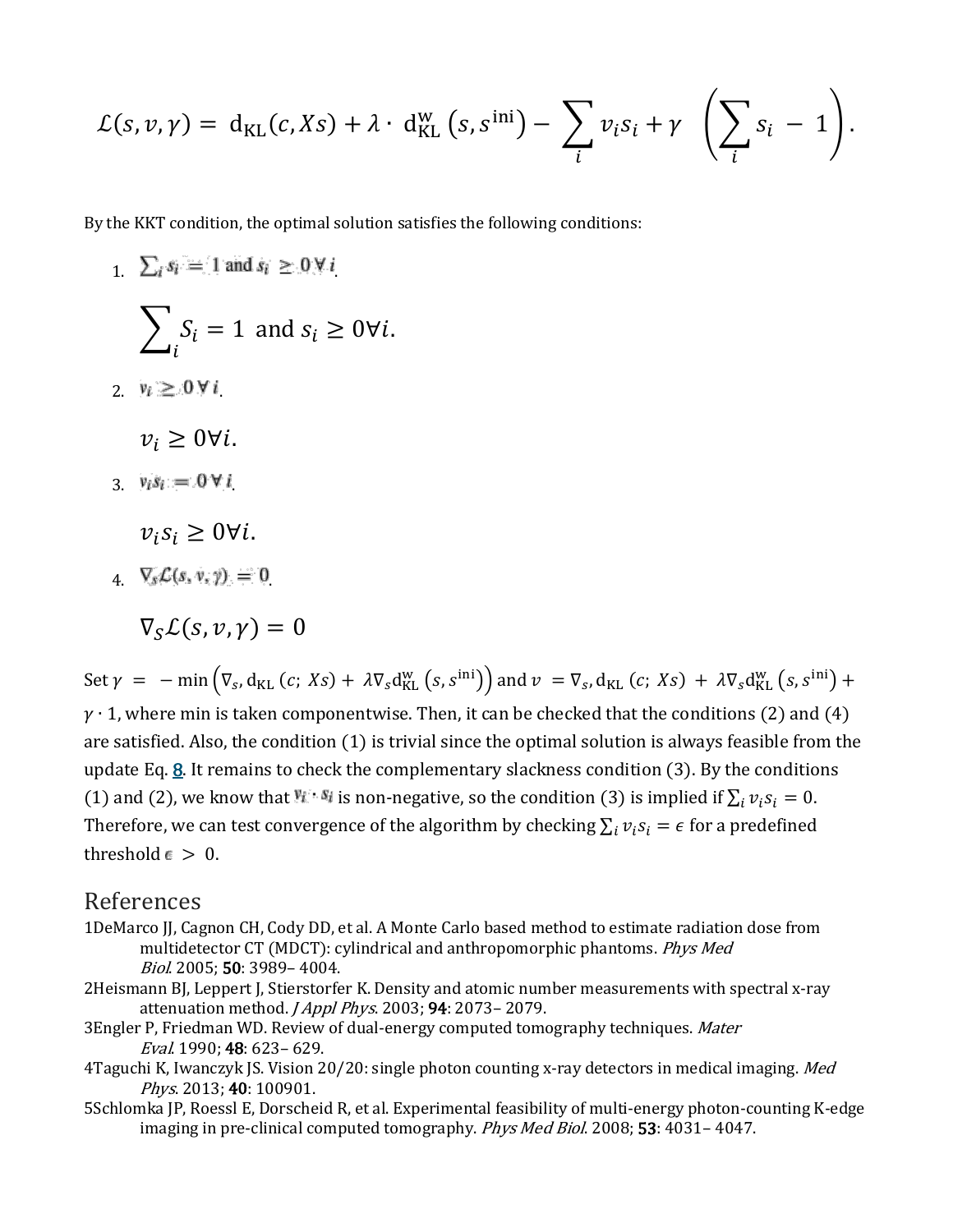$$
\mathcal{L}(s,\nu,\gamma) = d_{\text{KL}}(c,Xs) + \lambda \cdot d_{\text{KL}}^{\text{w}}(s,s^{\text{ini}}) - \sum_{i} v_i s_i + \gamma \left( \sum_{i} s_i - 1 \right).
$$

By the KKT condition, the optimal solution satisfies the following conditions:

 $\sum_i s_i = 1$  and  $s_i \geq 0 \forall i$  $\sum_{i} S_i = 1$  $\iota$ and  $s_i \geq 0 \forall i$ . 2.  $v_i \geq 0 \forall i$  $v_i \geq 0 \forall i$ . 3.  $v_i s_i = 0 \forall i$  $v_i s_i \geq 0 \forall i$ .  $\sqrt{2} \mathcal{L}(s, v, y) = 0$ 

 $\nabla_{\mathbf{c}} \mathcal{L}(s, v, v) = 0$ 

Set  $\gamma = -\min(\nabla_s, d_{KL}(c; Xs) + \lambda \nabla_s d_{KL}^w(s, s^{\text{ini}}))$  and  $\nu = \nabla_s, d_{KL}(c; Xs) + \lambda \nabla_s d_{KL}^w(s, s^{\text{ini}}) +$  $\gamma$  ⋅ 1, where min is taken componentwise. Then, it can be checked that the conditions (2) and (4) are satisfied. Also, the condition (1) is trivial since the optimal solution is always feasible from the update Eq.  $\underline{8}$ . It remains to check the complementary slackness condition (3). By the conditions (1) and (2), we know that  $\mathbb{R}^{n}$  is non-negative, so the condition (3) is implied if  $\sum_i v_i s_i = 0$ . Therefore, we can test convergence of the algorithm by checking  $\sum_i v_i s_i = \epsilon$  for a predefined threshold  $\epsilon > 0$ .

#### References

- 1DeMarco JJ, Cagnon CH, Cody DD, et al. A Monte Carlo based method to estimate radiation dose from multidetector CT (MDCT): cylindrical and anthropomorphic phantoms. Phys Med Biol. 2005; 50: 3989– 4004.
- 2Heismann BJ, Leppert J, Stierstorfer K. Density and atomic number measurements with spectral x-ray attenuation method. *J Appl Phys.* 2003; **94**: 2073- 2079.
- 3Engler P, Friedman WD. Review of dual-energy computed tomography techniques. Mater Eval. 1990; 48: 623– 629.
- 4Taguchi K, Iwanczyk JS. Vision 20/20: single photon counting x-ray detectors in medical imaging. Med Phys. 2013: **40**: 100901.
- 5Schlomka JP, Roessl E, Dorscheid R, et al. Experimental feasibility of multi-energy photon-counting K-edge imaging in pre-clinical computed tomography. Phys Med Biol. 2008; 53: 4031-4047.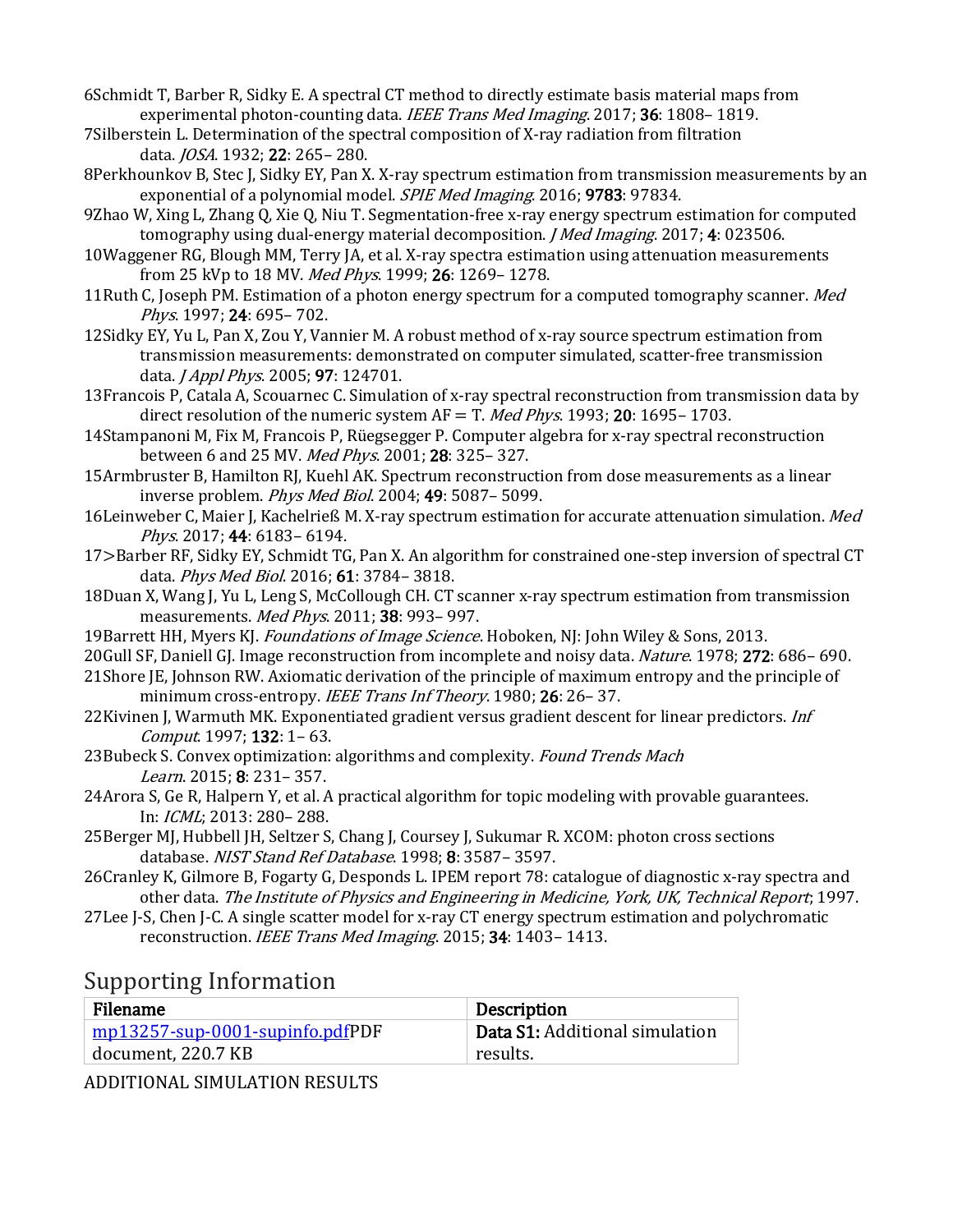- 6Schmidt T, Barber R, Sidky E. A spectral CT method to directly estimate basis material maps from experimental photon-counting data. IEEE Trans Med Imaging. 2017; 36: 1808–1819.
- 7Silberstein L. Determination of the spectral composition of X-ray radiation from filtration data. JOSA. 1932; 22: 265– 280.
- 8Perkhounkov B, Stec J, Sidky EY, Pan X. X-ray spectrum estimation from transmission measurements by an exponential of a polynomial model. *SPIE Med Imaging*. 2016; 9783: 97834.
- 9Zhao W, Xing L, Zhang Q, Xie Q, Niu T. Segmentation-free x-ray energy spectrum estimation for computed tomography using dual-energy material decomposition. *J Med Imaging*. 2017; 4: 023506.
- 10Waggener RG, Blough MM, Terry JA, et al. X-ray spectra estimation using attenuation measurements from 25 kVp to 18 MV. Med Phys. 1999; 26: 1269-1278.
- 11Ruth C, Joseph PM. Estimation of a photon energy spectrum for a computed tomography scanner. *Med* Phys. 1997; 24: 695– 702.
- 12Sidky EY, Yu L, Pan X, Zou Y, Vannier M. A robust method of x-ray source spectrum estimation from transmission measurements: demonstrated on computer simulated, scatter-free transmission data. *J Appl Phys.* 2005; 97: 124701.
- 13Francois P, Catala A, Scouarnec C. Simulation of x-ray spectral reconstruction from transmission data by direct resolution of the numeric system  $AF = T$ . *Med Phys.* 1993; **20**: 1695–1703.
- 14Stampanoni M, Fix M, Francois P, Rüegsegger P. Computer algebra for x-ray spectral reconstruction between 6 and 25 MV. Med Phys. 2001; 28: 325-327.
- 15Armbruster B, Hamilton RJ, Kuehl AK. Spectrum reconstruction from dose measurements as a linear inverse problem. Phys Med Biol. 2004; 49: 5087– 5099.
- 16Leinweber C, Maier J, Kachelrieß M. X-ray spectrum estimation for accurate attenuation simulation. *Med* Phys. 2017; 44: 6183– 6194.
- 17>Barber RF, Sidky EY, Schmidt TG, Pan X. An algorithm for constrained one-step inversion of spectral CT data. Phys Med Biol. 2016; 61: 3784– 3818.
- 18Duan X, Wang J, Yu L, Leng S, McCollough CH. CT scanner x-ray spectrum estimation from transmission measurements. Med Phys. 2011; 38: 993- 997.
- 19Barrett HH, Myers KJ. Foundations of Image Science. Hoboken, NJ: John Wiley & Sons, 2013.
- 20Gull SF, Daniell GJ. Image reconstruction from incomplete and noisy data. Nature. 1978; 272: 686– 690.
- 21Shore JE, Johnson RW. Axiomatic derivation of the principle of maximum entropy and the principle of minimum cross-entropy. IEEE Trans Inf Theory. 1980; 26: 26-37.
- 22Kivinen J, Warmuth MK. Exponentiated gradient versus gradient descent for linear predictors. Inf Comput. 1997; 132: 1– 63.
- 23Bubeck S. Convex optimization: algorithms and complexity. Found Trends Mach Learn. 2015; 8: 231– 357.
- 24Arora S, Ge R, Halpern Y, et al. A practical algorithm for topic modeling with provable guarantees. In: ICML; 2013: 280– 288.
- 25Berger MJ, Hubbell JH, Seltzer S, Chang J, Coursey J, Sukumar R. XCOM: photon cross sections database. NIST Stand Ref Database. 1998; 8: 3587-3597.
- 26Cranley K, Gilmore B, Fogarty G, Desponds L. IPEM report 78: catalogue of diagnostic x-ray spectra and other data. The Institute of Physics and Engineering in Medicine, York, UK, Technical Report; 1997.
- 27Lee J-S, Chen J-C. A single scatter model for x-ray CT energy spectrum estimation and polychromatic reconstruction. IEEE Trans Med Imaging. 2015; 34: 1403-1413.

### Supporting Information

| Filename                               | Description                    |
|----------------------------------------|--------------------------------|
| $\mid$ mp13257-sup-0001-supinfo.pdfPDF | Data S1: Additional simulation |
| document, 220.7 KB                     | results. [                     |

ADDITIONAL SIMULATION RESULTS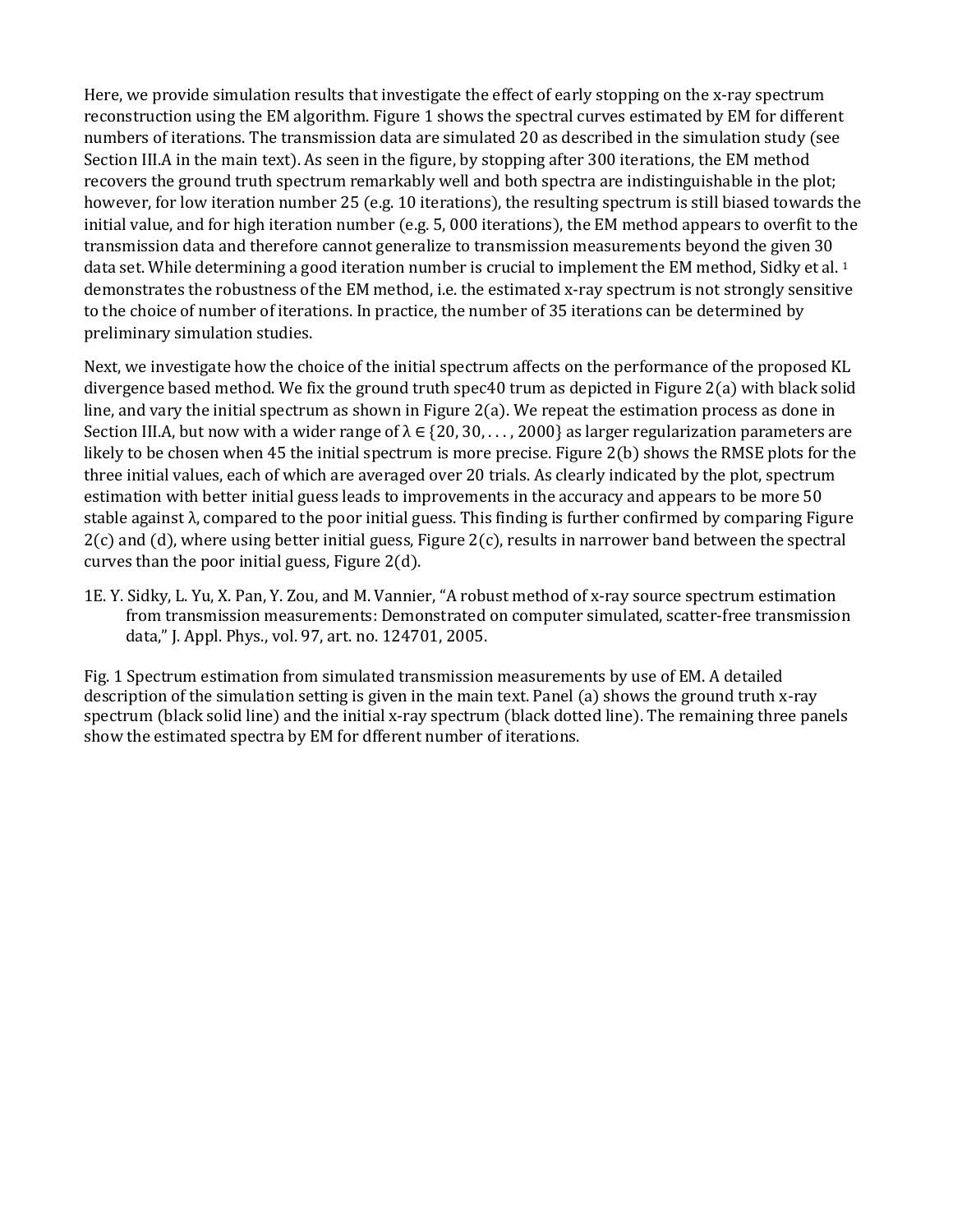Here, we provide simulation results that investigate the effect of early stopping on the x-ray spectrum reconstruction using the EM algorithm. Figure 1 shows the spectral curves estimated by EM for different numbers of iterations. The transmission data are simulated 20 as described in the simulation study (see Section III.A in the main text). As seen in the figure, by stopping after 300 iterations, the EM method recovers the ground truth spectrum remarkably well and both spectra are indistinguishable in the plot; however, for low iteration number 25 (e.g. 10 iterations), the resulting spectrum is still biased towards the initial value, and for high iteration number (e.g. 5, 000 iterations), the EM method appears to overfit to the transmission data and therefore cannot generalize to transmission measurements beyond the given 30 data set. While determining a good iteration number is crucial to implement the EM method, Sidky et al. <sup>1</sup> demonstrates the robustness of the EM method, i.e. the estimated x-ray spectrum is not strongly sensitive to the choice of number of iterations. In practice, the number of 35 iterations can be determined by preliminary simulation studies.

Next, we investigate how the choice of the initial spectrum affects on the performance of the proposed KL divergence based method. We fix the ground truth spec40 trum as depicted in Figure 2(a) with black solid line, and vary the initial spectrum as shown in Figure 2(a). We repeat the estimation process as done in Section III.A, but now with a wider range of  $\lambda \in \{20, 30, \ldots, 2000\}$  as larger regularization parameters are likely to be chosen when 45 the initial spectrum is more precise. Figure 2(b) shows the RMSE plots for the three initial values, each of which are averaged over 20 trials. As clearly indicated by the plot, spectrum estimation with better initial guess leads to improvements in the accuracy and appears to be more 50 stable against λ, compared to the poor initial guess. This finding is further confirmed by comparing Figure  $2(c)$  and (d), where using better initial guess, Figure  $2(c)$ , results in narrower band between the spectral curves than the poor initial guess, Figure 2(d).

1E. Y. Sidky, L. Yu, X. Pan, Y. Zou, and M. Vannier, "A robust method of x-ray source spectrum estimation from transmission measurements: Demonstrated on computer simulated, scatter-free transmission data," J. Appl. Phys., vol. 97, art. no. 124701, 2005.

Fig. 1 Spectrum estimation from simulated transmission measurements by use of EM. A detailed description of the simulation setting is given in the main text. Panel (a) shows the ground truth x-ray spectrum (black solid line) and the initial x-ray spectrum (black dotted line). The remaining three panels show the estimated spectra by EM for dfferent number of iterations.